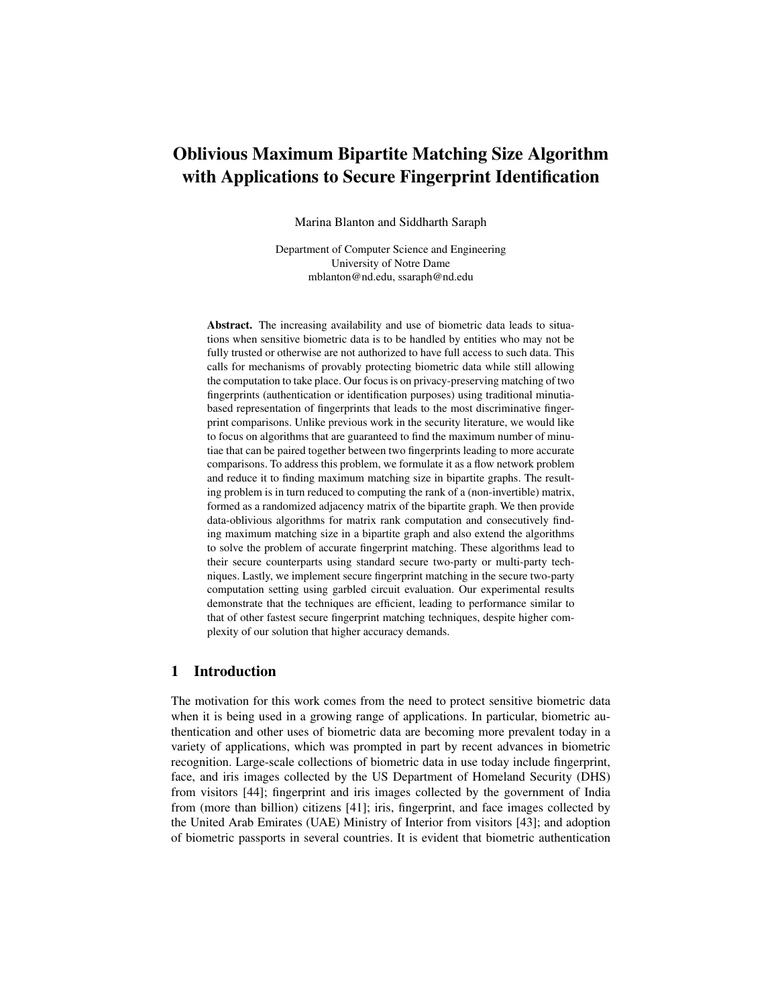# Oblivious Maximum Bipartite Matching Size Algorithm with Applications to Secure Fingerprint Identification

Marina Blanton and Siddharth Saraph

Department of Computer Science and Engineering University of Notre Dame mblanton@nd.edu, ssaraph@nd.edu

Abstract. The increasing availability and use of biometric data leads to situations when sensitive biometric data is to be handled by entities who may not be fully trusted or otherwise are not authorized to have full access to such data. This calls for mechanisms of provably protecting biometric data while still allowing the computation to take place. Our focus is on privacy-preserving matching of two fingerprints (authentication or identification purposes) using traditional minutiabased representation of fingerprints that leads to the most discriminative fingerprint comparisons. Unlike previous work in the security literature, we would like to focus on algorithms that are guaranteed to find the maximum number of minutiae that can be paired together between two fingerprints leading to more accurate comparisons. To address this problem, we formulate it as a flow network problem and reduce it to finding maximum matching size in bipartite graphs. The resulting problem is in turn reduced to computing the rank of a (non-invertible) matrix, formed as a randomized adjacency matrix of the bipartite graph. We then provide data-oblivious algorithms for matrix rank computation and consecutively finding maximum matching size in a bipartite graph and also extend the algorithms to solve the problem of accurate fingerprint matching. These algorithms lead to their secure counterparts using standard secure two-party or multi-party techniques. Lastly, we implement secure fingerprint matching in the secure two-party computation setting using garbled circuit evaluation. Our experimental results demonstrate that the techniques are efficient, leading to performance similar to that of other fastest secure fingerprint matching techniques, despite higher complexity of our solution that higher accuracy demands.

# 1 Introduction

The motivation for this work comes from the need to protect sensitive biometric data when it is being used in a growing range of applications. In particular, biometric authentication and other uses of biometric data are becoming more prevalent today in a variety of applications, which was prompted in part by recent advances in biometric recognition. Large-scale collections of biometric data in use today include fingerprint, face, and iris images collected by the US Department of Homeland Security (DHS) from visitors [44]; fingerprint and iris images collected by the government of India from (more than billion) citizens [41]; iris, fingerprint, and face images collected by the United Arab Emirates (UAE) Ministry of Interior from visitors [43]; and adoption of biometric passports in several countries. It is evident that biometric authentication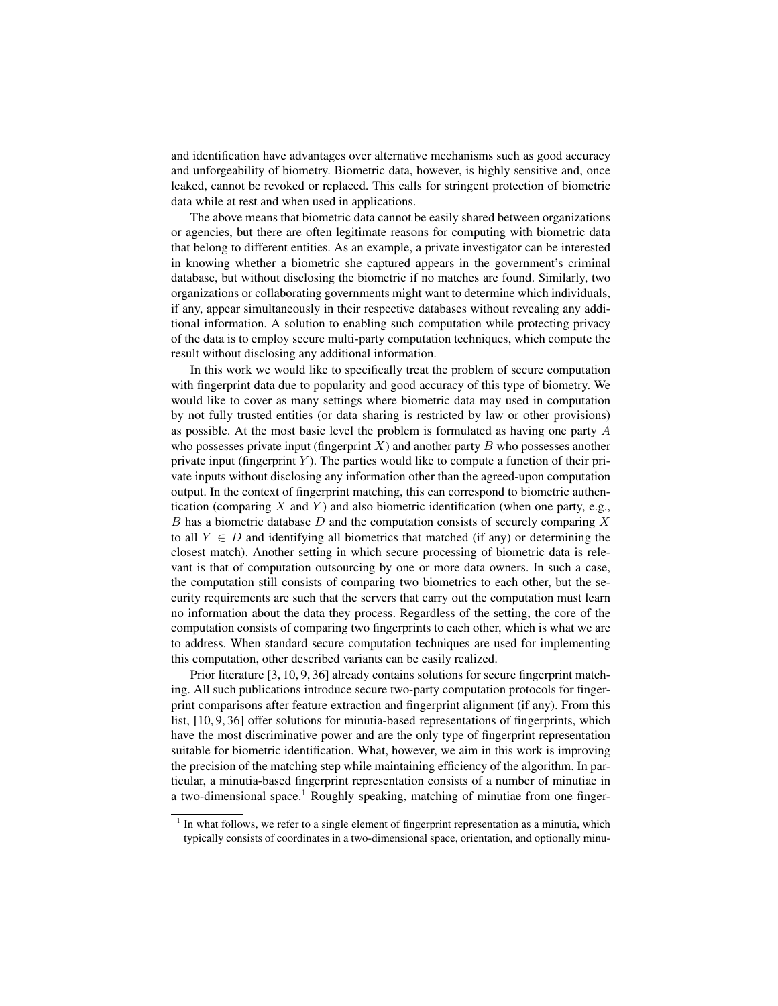and identification have advantages over alternative mechanisms such as good accuracy and unforgeability of biometry. Biometric data, however, is highly sensitive and, once leaked, cannot be revoked or replaced. This calls for stringent protection of biometric data while at rest and when used in applications.

The above means that biometric data cannot be easily shared between organizations or agencies, but there are often legitimate reasons for computing with biometric data that belong to different entities. As an example, a private investigator can be interested in knowing whether a biometric she captured appears in the government's criminal database, but without disclosing the biometric if no matches are found. Similarly, two organizations or collaborating governments might want to determine which individuals, if any, appear simultaneously in their respective databases without revealing any additional information. A solution to enabling such computation while protecting privacy of the data is to employ secure multi-party computation techniques, which compute the result without disclosing any additional information.

In this work we would like to specifically treat the problem of secure computation with fingerprint data due to popularity and good accuracy of this type of biometry. We would like to cover as many settings where biometric data may used in computation by not fully trusted entities (or data sharing is restricted by law or other provisions) as possible. At the most basic level the problem is formulated as having one party A who possesses private input (fingerprint  $X$ ) and another party  $B$  who possesses another private input (fingerprint  $Y$ ). The parties would like to compute a function of their private inputs without disclosing any information other than the agreed-upon computation output. In the context of fingerprint matching, this can correspond to biometric authentication (comparing X and Y) and also biometric identification (when one party, e.g.,  $B$  has a biometric database  $D$  and the computation consists of securely comparing  $X$ to all  $Y \in D$  and identifying all biometrics that matched (if any) or determining the closest match). Another setting in which secure processing of biometric data is relevant is that of computation outsourcing by one or more data owners. In such a case, the computation still consists of comparing two biometrics to each other, but the security requirements are such that the servers that carry out the computation must learn no information about the data they process. Regardless of the setting, the core of the computation consists of comparing two fingerprints to each other, which is what we are to address. When standard secure computation techniques are used for implementing this computation, other described variants can be easily realized.

Prior literature [3, 10, 9, 36] already contains solutions for secure fingerprint matching. All such publications introduce secure two-party computation protocols for fingerprint comparisons after feature extraction and fingerprint alignment (if any). From this list, [10, 9, 36] offer solutions for minutia-based representations of fingerprints, which have the most discriminative power and are the only type of fingerprint representation suitable for biometric identification. What, however, we aim in this work is improving the precision of the matching step while maintaining efficiency of the algorithm. In particular, a minutia-based fingerprint representation consists of a number of minutiae in a two-dimensional space.<sup>1</sup> Roughly speaking, matching of minutiae from one finger-

 $<sup>1</sup>$  In what follows, we refer to a single element of fingerprint representation as a minutia, which</sup> typically consists of coordinates in a two-dimensional space, orientation, and optionally minu-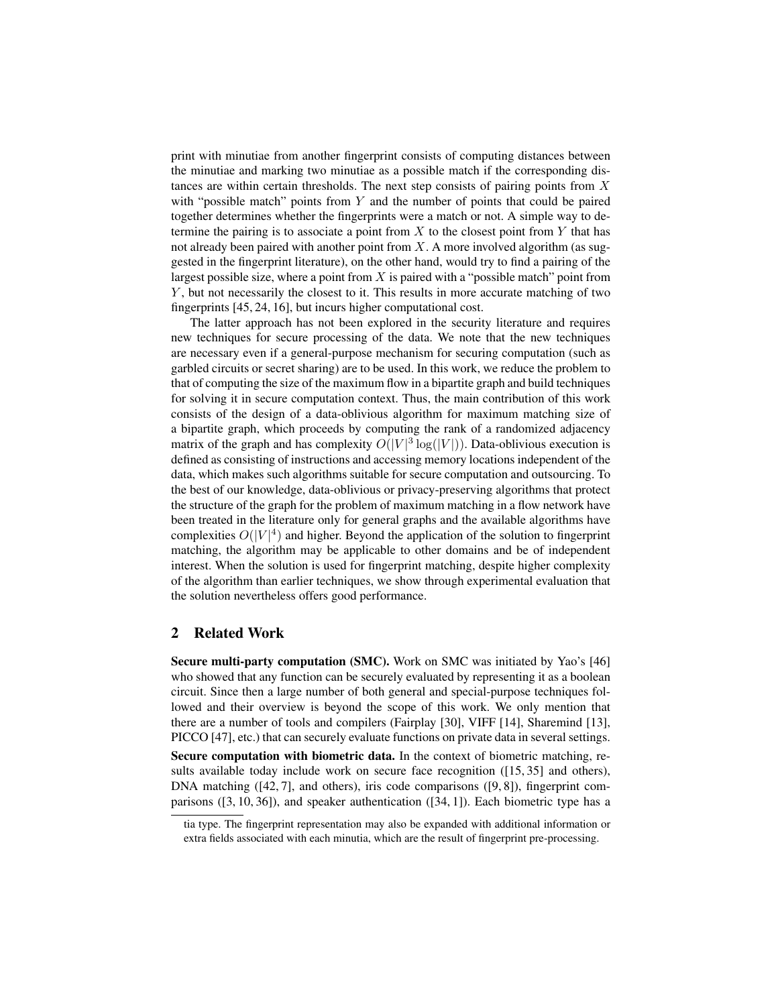print with minutiae from another fingerprint consists of computing distances between the minutiae and marking two minutiae as a possible match if the corresponding distances are within certain thresholds. The next step consists of pairing points from  $X$ with "possible match" points from  $Y$  and the number of points that could be paired together determines whether the fingerprints were a match or not. A simple way to determine the pairing is to associate a point from  $X$  to the closest point from  $Y$  that has not already been paired with another point from  $X$ . A more involved algorithm (as suggested in the fingerprint literature), on the other hand, would try to find a pairing of the largest possible size, where a point from  $X$  is paired with a "possible match" point from Y, but not necessarily the closest to it. This results in more accurate matching of two fingerprints [45, 24, 16], but incurs higher computational cost.

The latter approach has not been explored in the security literature and requires new techniques for secure processing of the data. We note that the new techniques are necessary even if a general-purpose mechanism for securing computation (such as garbled circuits or secret sharing) are to be used. In this work, we reduce the problem to that of computing the size of the maximum flow in a bipartite graph and build techniques for solving it in secure computation context. Thus, the main contribution of this work consists of the design of a data-oblivious algorithm for maximum matching size of a bipartite graph, which proceeds by computing the rank of a randomized adjacency matrix of the graph and has complexity  $O(|V|^3 \log(|V|))$ . Data-oblivious execution is defined as consisting of instructions and accessing memory locations independent of the data, which makes such algorithms suitable for secure computation and outsourcing. To the best of our knowledge, data-oblivious or privacy-preserving algorithms that protect the structure of the graph for the problem of maximum matching in a flow network have been treated in the literature only for general graphs and the available algorithms have complexities  $O(|V|^4)$  and higher. Beyond the application of the solution to fingerprint matching, the algorithm may be applicable to other domains and be of independent interest. When the solution is used for fingerprint matching, despite higher complexity of the algorithm than earlier techniques, we show through experimental evaluation that the solution nevertheless offers good performance.

## 2 Related Work

Secure multi-party computation (SMC). Work on SMC was initiated by Yao's [46] who showed that any function can be securely evaluated by representing it as a boolean circuit. Since then a large number of both general and special-purpose techniques followed and their overview is beyond the scope of this work. We only mention that there are a number of tools and compilers (Fairplay [30], VIFF [14], Sharemind [13], PICCO [47], etc.) that can securely evaluate functions on private data in several settings. Secure computation with biometric data. In the context of biometric matching, results available today include work on secure face recognition ([15, 35] and others), DNA matching ([42, 7], and others), iris code comparisons ([9, 8]), fingerprint comparisons  $([3, 10, 36])$ , and speaker authentication  $([34, 1])$ . Each biometric type has a

tia type. The fingerprint representation may also be expanded with additional information or extra fields associated with each minutia, which are the result of fingerprint pre-processing.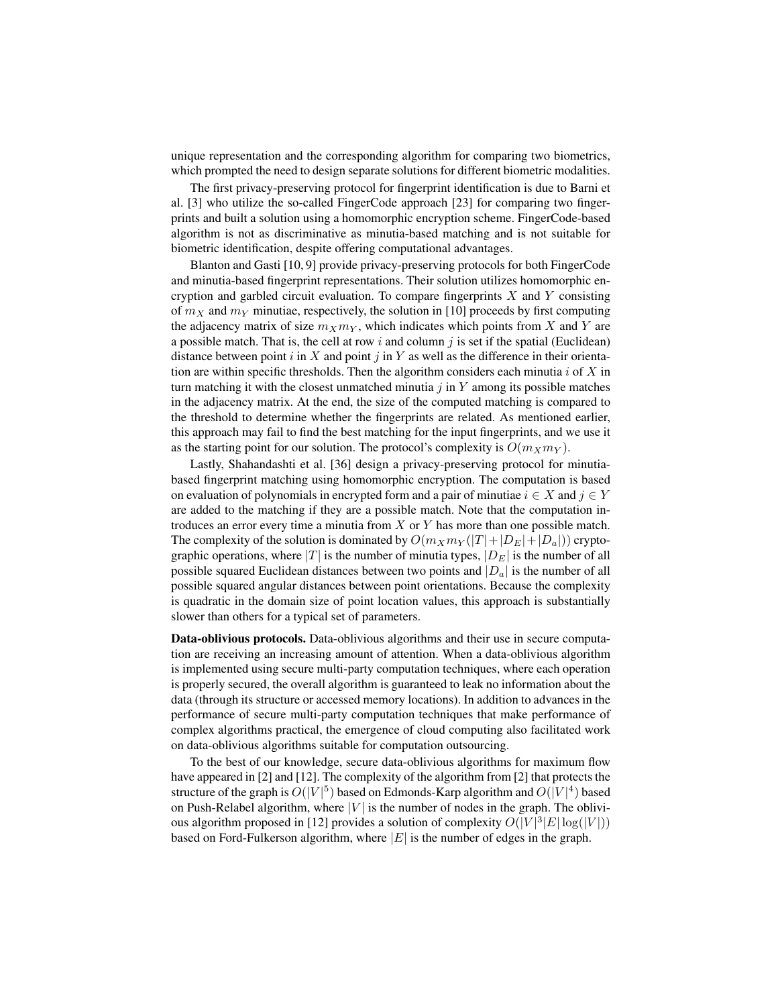unique representation and the corresponding algorithm for comparing two biometrics, which prompted the need to design separate solutions for different biometric modalities.

The first privacy-preserving protocol for fingerprint identification is due to Barni et al. [3] who utilize the so-called FingerCode approach [23] for comparing two fingerprints and built a solution using a homomorphic encryption scheme. FingerCode-based algorithm is not as discriminative as minutia-based matching and is not suitable for biometric identification, despite offering computational advantages.

Blanton and Gasti [10, 9] provide privacy-preserving protocols for both FingerCode and minutia-based fingerprint representations. Their solution utilizes homomorphic encryption and garbled circuit evaluation. To compare fingerprints  $X$  and  $Y$  consisting of  $m<sub>X</sub>$  and  $m<sub>Y</sub>$  minutiae, respectively, the solution in [10] proceeds by first computing the adjacency matrix of size  $m_Xm_Y$ , which indicates which points from X and Y are a possible match. That is, the cell at row i and column j is set if the spatial (Euclidean) distance between point  $i$  in  $X$  and point  $j$  in  $Y$  as well as the difference in their orientation are within specific thresholds. Then the algorithm considers each minutia  $i$  of  $X$  in turn matching it with the closest unmatched minutia  $j$  in  $Y$  among its possible matches in the adjacency matrix. At the end, the size of the computed matching is compared to the threshold to determine whether the fingerprints are related. As mentioned earlier, this approach may fail to find the best matching for the input fingerprints, and we use it as the starting point for our solution. The protocol's complexity is  $O(m_Xm_Y)$ .

Lastly, Shahandashti et al. [36] design a privacy-preserving protocol for minutiabased fingerprint matching using homomorphic encryption. The computation is based on evaluation of polynomials in encrypted form and a pair of minutiae  $i \in X$  and  $j \in Y$ are added to the matching if they are a possible match. Note that the computation introduces an error every time a minutia from  $X$  or  $Y$  has more than one possible match. The complexity of the solution is dominated by  $O(m_X m_Y(|T|+|D_E|+|D_a|))$  cryptographic operations, where  $|T|$  is the number of minutia types,  $|D_E|$  is the number of all possible squared Euclidean distances between two points and  $|D_a|$  is the number of all possible squared angular distances between point orientations. Because the complexity is quadratic in the domain size of point location values, this approach is substantially slower than others for a typical set of parameters.

Data-oblivious protocols. Data-oblivious algorithms and their use in secure computation are receiving an increasing amount of attention. When a data-oblivious algorithm is implemented using secure multi-party computation techniques, where each operation is properly secured, the overall algorithm is guaranteed to leak no information about the data (through its structure or accessed memory locations). In addition to advances in the performance of secure multi-party computation techniques that make performance of complex algorithms practical, the emergence of cloud computing also facilitated work on data-oblivious algorithms suitable for computation outsourcing.

To the best of our knowledge, secure data-oblivious algorithms for maximum flow have appeared in [2] and [12]. The complexity of the algorithm from [2] that protects the structure of the graph is  $O(|V|^5)$  based on Edmonds-Karp algorithm and  $O(|V|^4)$  based on Push-Relabel algorithm, where  $|V|$  is the number of nodes in the graph. The oblivious algorithm proposed in [12] provides a solution of complexity  $O(|V|^3|E|\log(|V|))$ based on Ford-Fulkerson algorithm, where  $|E|$  is the number of edges in the graph.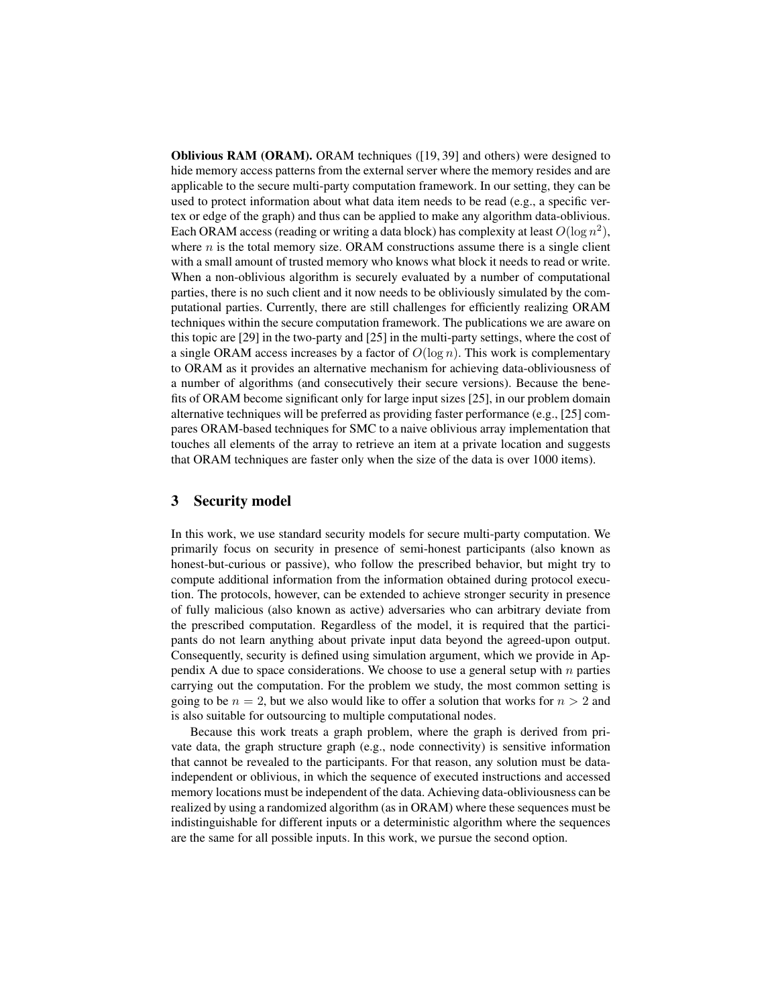Oblivious RAM (ORAM). ORAM techniques ([19, 39] and others) were designed to hide memory access patterns from the external server where the memory resides and are applicable to the secure multi-party computation framework. In our setting, they can be used to protect information about what data item needs to be read (e.g., a specific vertex or edge of the graph) and thus can be applied to make any algorithm data-oblivious. Each ORAM access (reading or writing a data block) has complexity at least  $O(\log n^2)$ , where  $n$  is the total memory size. ORAM constructions assume there is a single client with a small amount of trusted memory who knows what block it needs to read or write. When a non-oblivious algorithm is securely evaluated by a number of computational parties, there is no such client and it now needs to be obliviously simulated by the computational parties. Currently, there are still challenges for efficiently realizing ORAM techniques within the secure computation framework. The publications we are aware on this topic are [29] in the two-party and [25] in the multi-party settings, where the cost of a single ORAM access increases by a factor of  $O(\log n)$ . This work is complementary to ORAM as it provides an alternative mechanism for achieving data-obliviousness of a number of algorithms (and consecutively their secure versions). Because the benefits of ORAM become significant only for large input sizes [25], in our problem domain alternative techniques will be preferred as providing faster performance (e.g., [25] compares ORAM-based techniques for SMC to a naive oblivious array implementation that touches all elements of the array to retrieve an item at a private location and suggests that ORAM techniques are faster only when the size of the data is over 1000 items).

## 3 Security model

In this work, we use standard security models for secure multi-party computation. We primarily focus on security in presence of semi-honest participants (also known as honest-but-curious or passive), who follow the prescribed behavior, but might try to compute additional information from the information obtained during protocol execution. The protocols, however, can be extended to achieve stronger security in presence of fully malicious (also known as active) adversaries who can arbitrary deviate from the prescribed computation. Regardless of the model, it is required that the participants do not learn anything about private input data beyond the agreed-upon output. Consequently, security is defined using simulation argument, which we provide in Appendix A due to space considerations. We choose to use a general setup with  $n$  parties carrying out the computation. For the problem we study, the most common setting is going to be  $n = 2$ , but we also would like to offer a solution that works for  $n > 2$  and is also suitable for outsourcing to multiple computational nodes.

Because this work treats a graph problem, where the graph is derived from private data, the graph structure graph (e.g., node connectivity) is sensitive information that cannot be revealed to the participants. For that reason, any solution must be dataindependent or oblivious, in which the sequence of executed instructions and accessed memory locations must be independent of the data. Achieving data-obliviousness can be realized by using a randomized algorithm (as in ORAM) where these sequences must be indistinguishable for different inputs or a deterministic algorithm where the sequences are the same for all possible inputs. In this work, we pursue the second option.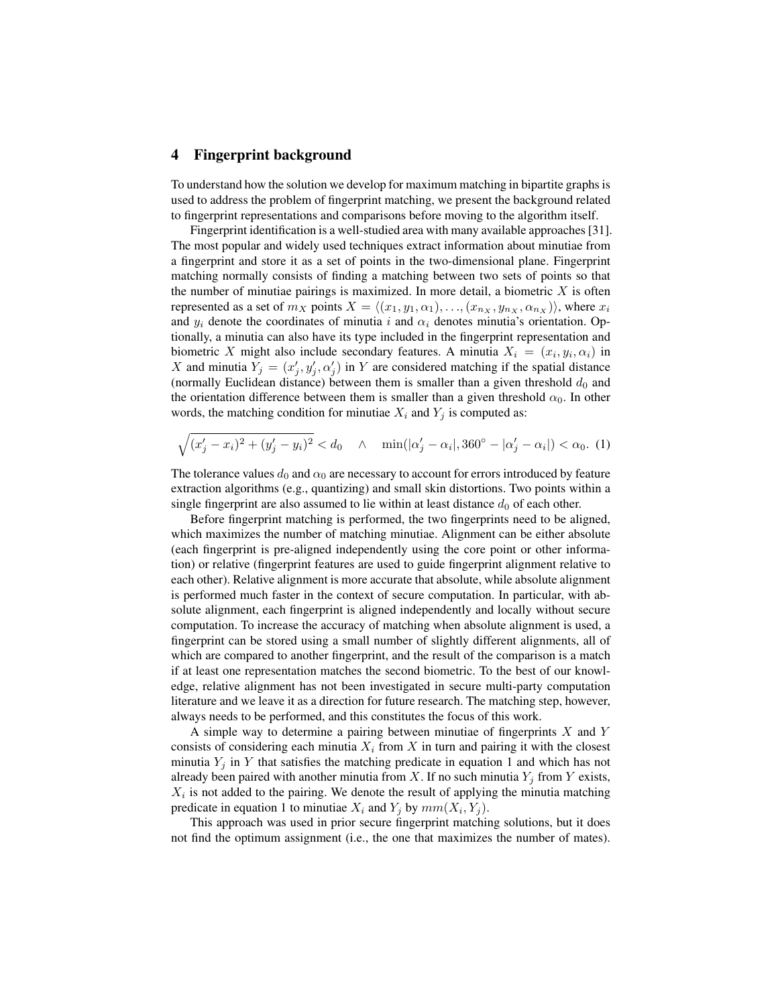#### 4 Fingerprint background

To understand how the solution we develop for maximum matching in bipartite graphs is used to address the problem of fingerprint matching, we present the background related to fingerprint representations and comparisons before moving to the algorithm itself.

Fingerprint identification is a well-studied area with many available approaches [31]. The most popular and widely used techniques extract information about minutiae from a fingerprint and store it as a set of points in the two-dimensional plane. Fingerprint matching normally consists of finding a matching between two sets of points so that the number of minutiae pairings is maximized. In more detail, a biometric  $X$  is often represented as a set of  $m_X$  points  $X = \langle (x_1, y_1, \alpha_1), \dots, (x_n, y_n, \alpha_n)\rangle$ , where  $x_i$ and  $y_i$  denote the coordinates of minutia i and  $\alpha_i$  denotes minutia's orientation. Optionally, a minutia can also have its type included in the fingerprint representation and biometric X might also include secondary features. A minutia  $X_i = (x_i, y_i, \alpha_i)$  in X and minutia  $Y_j = (x'_j, y'_j, \alpha'_j)$  in Y are considered matching if the spatial distance (normally Euclidean distance) between them is smaller than a given threshold  $d_0$  and the orientation difference between them is smaller than a given threshold  $\alpha_0$ . In other words, the matching condition for minutiae  $X_i$  and  $Y_j$  is computed as:

$$
\sqrt{(x'_j - x_i)^2 + (y'_j - y_i)^2} < d_0 \quad \wedge \quad \min(|\alpha'_j - \alpha_i|, 360^\circ - |\alpha'_j - \alpha_i|) < \alpha_0. \tag{1}
$$

The tolerance values  $d_0$  and  $\alpha_0$  are necessary to account for errors introduced by feature extraction algorithms (e.g., quantizing) and small skin distortions. Two points within a single fingerprint are also assumed to lie within at least distance  $d_0$  of each other.

Before fingerprint matching is performed, the two fingerprints need to be aligned, which maximizes the number of matching minutiae. Alignment can be either absolute (each fingerprint is pre-aligned independently using the core point or other information) or relative (fingerprint features are used to guide fingerprint alignment relative to each other). Relative alignment is more accurate that absolute, while absolute alignment is performed much faster in the context of secure computation. In particular, with absolute alignment, each fingerprint is aligned independently and locally without secure computation. To increase the accuracy of matching when absolute alignment is used, a fingerprint can be stored using a small number of slightly different alignments, all of which are compared to another fingerprint, and the result of the comparison is a match if at least one representation matches the second biometric. To the best of our knowledge, relative alignment has not been investigated in secure multi-party computation literature and we leave it as a direction for future research. The matching step, however, always needs to be performed, and this constitutes the focus of this work.

A simple way to determine a pairing between minutiae of fingerprints  $X$  and  $Y$ consists of considering each minutia  $X_i$  from X in turn and pairing it with the closest minutia  $Y_i$  in Y that satisfies the matching predicate in equation 1 and which has not already been paired with another minutia from X. If no such minutia  $Y_j$  from Y exists,  $X_i$  is not added to the pairing. We denote the result of applying the minutia matching predicate in equation 1 to minutiae  $X_i$  and  $Y_j$  by  $mm(X_i, Y_j)$ .

This approach was used in prior secure fingerprint matching solutions, but it does not find the optimum assignment (i.e., the one that maximizes the number of mates).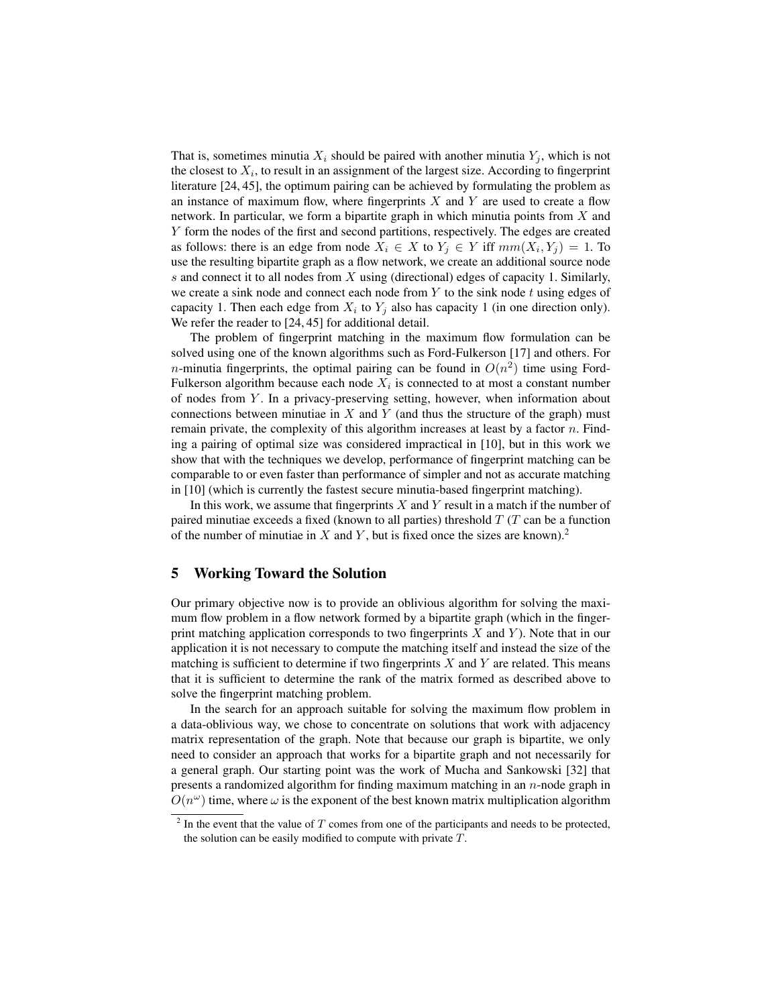That is, sometimes minutia  $X_i$  should be paired with another minutia  $Y_i$ , which is not the closest to  $X_i$ , to result in an assignment of the largest size. According to fingerprint literature [24, 45], the optimum pairing can be achieved by formulating the problem as an instance of maximum flow, where fingerprints  $X$  and  $Y$  are used to create a flow network. In particular, we form a bipartite graph in which minutia points from  $X$  and Y form the nodes of the first and second partitions, respectively. The edges are created as follows: there is an edge from node  $X_i \in X$  to  $Y_j \in Y$  iff  $mm(X_i, Y_j) = 1$ . To use the resulting bipartite graph as a flow network, we create an additional source node s and connect it to all nodes from  $X$  using (directional) edges of capacity 1. Similarly, we create a sink node and connect each node from  $Y$  to the sink node  $t$  using edges of capacity 1. Then each edge from  $X_i$  to  $Y_j$  also has capacity 1 (in one direction only). We refer the reader to [24, 45] for additional detail.

The problem of fingerprint matching in the maximum flow formulation can be solved using one of the known algorithms such as Ford-Fulkerson [17] and others. For *n*-minutia fingerprints, the optimal pairing can be found in  $O(n^2)$  time using Ford-Fulkerson algorithm because each node  $X_i$  is connected to at most a constant number of nodes from Y . In a privacy-preserving setting, however, when information about connections between minutiae in  $X$  and  $Y$  (and thus the structure of the graph) must remain private, the complexity of this algorithm increases at least by a factor  $n$ . Finding a pairing of optimal size was considered impractical in [10], but in this work we show that with the techniques we develop, performance of fingerprint matching can be comparable to or even faster than performance of simpler and not as accurate matching in [10] (which is currently the fastest secure minutia-based fingerprint matching).

In this work, we assume that fingerprints  $X$  and  $Y$  result in a match if the number of paired minutiae exceeds a fixed (known to all parties) threshold  $T(T \text{ can be a function})$ of the number of minutiae in X and Y, but is fixed once the sizes are known).<sup>2</sup>

### 5 Working Toward the Solution

Our primary objective now is to provide an oblivious algorithm for solving the maximum flow problem in a flow network formed by a bipartite graph (which in the fingerprint matching application corresponds to two fingerprints  $X$  and  $Y$ ). Note that in our application it is not necessary to compute the matching itself and instead the size of the matching is sufficient to determine if two fingerprints  $X$  and  $Y$  are related. This means that it is sufficient to determine the rank of the matrix formed as described above to solve the fingerprint matching problem.

In the search for an approach suitable for solving the maximum flow problem in a data-oblivious way, we chose to concentrate on solutions that work with adjacency matrix representation of the graph. Note that because our graph is bipartite, we only need to consider an approach that works for a bipartite graph and not necessarily for a general graph. Our starting point was the work of Mucha and Sankowski [32] that presents a randomized algorithm for finding maximum matching in an  $n$ -node graph in  $O(n^{\omega})$  time, where  $\omega$  is the exponent of the best known matrix multiplication algorithm

 $2<sup>2</sup>$  In the event that the value of T comes from one of the participants and needs to be protected, the solution can be easily modified to compute with private  $T$ .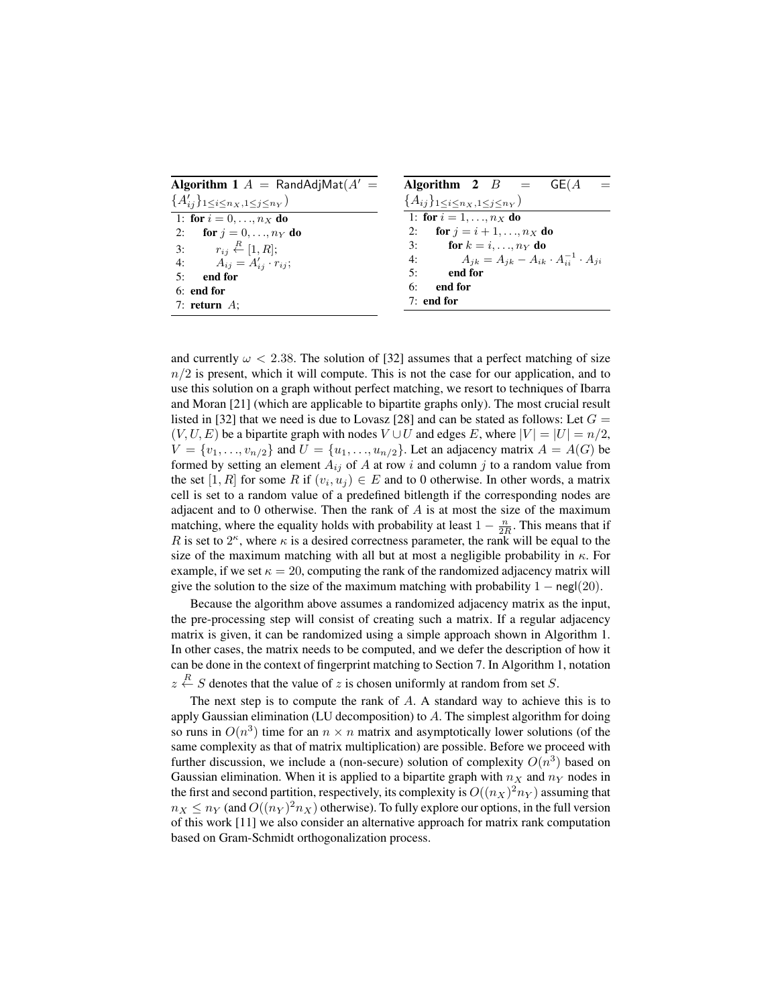| Algorithm 1 $A = \text{RandAdjMat}(A' =$        |  |  |  |  |
|-------------------------------------------------|--|--|--|--|
| ${A'_{ij}}_{1\leq i\leq n_X,1\leq j\leq n_Y}$   |  |  |  |  |
| 1: for $i = 0, , n_x$ do                        |  |  |  |  |
| for $j = 0, \ldots, n_Y$ do<br>2:               |  |  |  |  |
| $r_{ij} \stackrel{R}{\leftarrow} [1, R];$<br>3: |  |  |  |  |
| 4:<br>$A_{ij} = A'_{ij} \cdot r_{ij};$          |  |  |  |  |
| 5:<br>end for                                   |  |  |  |  |
| $6:$ end for                                    |  |  |  |  |
| 7: return $A$ :                                 |  |  |  |  |

|                          | Algorithm $2 \quad B$                          |  | $=$ | GE(A)                                                     |  |
|--------------------------|------------------------------------------------|--|-----|-----------------------------------------------------------|--|
|                          | ${A_{ij}}_{1\leq i\leq n_X, 1\leq j\leq n_Y})$ |  |     |                                                           |  |
| 1: for $i = 1, , n_X$ do |                                                |  |     |                                                           |  |
| 2:                       | <b>for</b> $j = i + 1, , n_X$ <b>do</b>        |  |     |                                                           |  |
| 3:                       | for $k = i, \ldots, n_Y$ do                    |  |     |                                                           |  |
| 4:                       |                                                |  |     | $A_{ik} = A_{ik} - A_{ik} \cdot A_{ii}^{-1} \cdot A_{ii}$ |  |
| 5:                       | end for                                        |  |     |                                                           |  |
|                          | $6:$ end for                                   |  |     |                                                           |  |
|                          | $7:$ end for                                   |  |     |                                                           |  |

and currently  $\omega < 2.38$ . The solution of [32] assumes that a perfect matching of size  $n/2$  is present, which it will compute. This is not the case for our application, and to use this solution on a graph without perfect matching, we resort to techniques of Ibarra and Moran [21] (which are applicable to bipartite graphs only). The most crucial result listed in [32] that we need is due to Lovasz [28] and can be stated as follows: Let  $G =$  $(V, U, E)$  be a bipartite graph with nodes  $V \cup U$  and edges E, where  $|V| = |U| = n/2$ ,  $V = \{v_1, \ldots, v_{n/2}\}\$  and  $U = \{u_1, \ldots, u_{n/2}\}\$ . Let an adjacency matrix  $A = A(G)$  be formed by setting an element  $A_{ij}$  of A at row i and column j to a random value from the set  $[1, R]$  for some R if  $(v_i, u_j) \in E$  and to 0 otherwise. In other words, a matrix cell is set to a random value of a predefined bitlength if the corresponding nodes are adjacent and to 0 otherwise. Then the rank of  $A$  is at most the size of the maximum matching, where the equality holds with probability at least  $1 - \frac{n}{2R}$ . This means that if R is set to  $2^{\kappa}$ , where  $\kappa$  is a desired correctness parameter, the rank will be equal to the size of the maximum matching with all but at most a negligible probability in  $\kappa$ . For example, if we set  $\kappa = 20$ , computing the rank of the randomized adjacency matrix will give the solution to the size of the maximum matching with probability  $1 - \text{negl}(20)$ .

Because the algorithm above assumes a randomized adjacency matrix as the input, the pre-processing step will consist of creating such a matrix. If a regular adjacency matrix is given, it can be randomized using a simple approach shown in Algorithm 1. In other cases, the matrix needs to be computed, and we defer the description of how it can be done in the context of fingerprint matching to Section 7. In Algorithm 1, notation  $z \stackrel{R}{\leftarrow} S$  denotes that the value of z is chosen uniformly at random from set S.

The next step is to compute the rank of  $A$ . A standard way to achieve this is to apply Gaussian elimination (LU decomposition) to  $A$ . The simplest algorithm for doing so runs in  $O(n^3)$  time for an  $n \times n$  matrix and asymptotically lower solutions (of the same complexity as that of matrix multiplication) are possible. Before we proceed with further discussion, we include a (non-secure) solution of complexity  $O(n^3)$  based on Gaussian elimination. When it is applied to a bipartite graph with  $n<sub>X</sub>$  and  $n<sub>Y</sub>$  nodes in the first and second partition, respectively, its complexity is  $O((n_X)^2 n_Y)$  assuming that  $n_X \le n_Y$  (and  $O((n_Y)^2 n_X)$  otherwise). To fully explore our options, in the full version of this work [11] we also consider an alternative approach for matrix rank computation based on Gram-Schmidt orthogonalization process.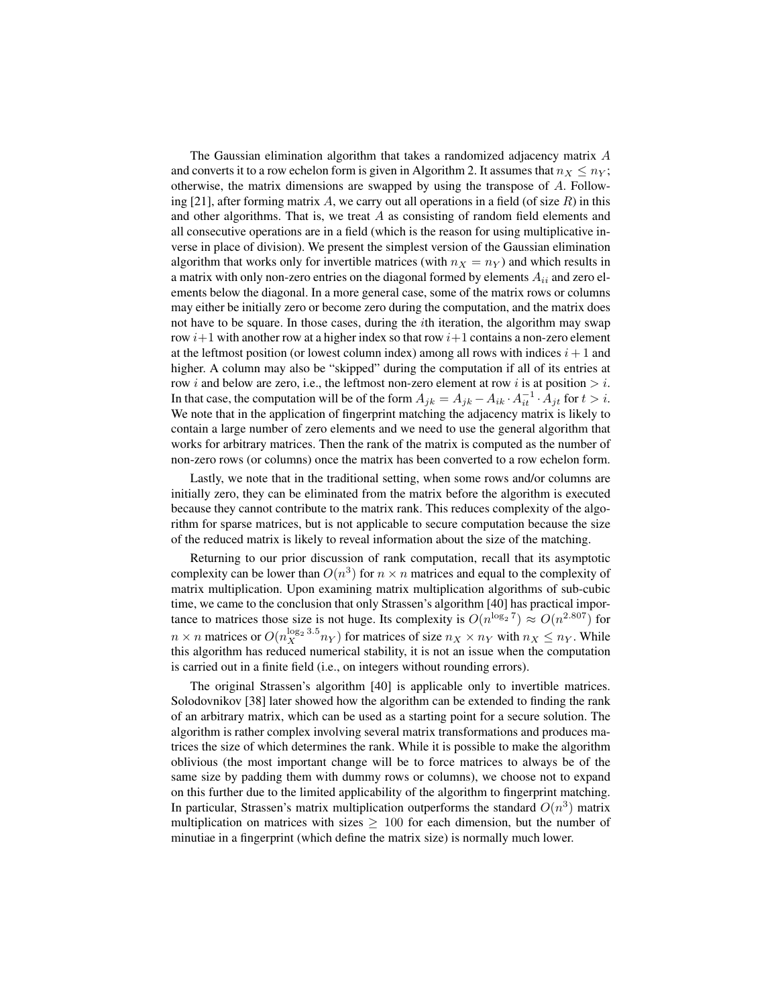The Gaussian elimination algorithm that takes a randomized adjacency matrix A and converts it to a row echelon form is given in Algorithm 2. It assumes that  $n_X \leq n_Y$ ; otherwise, the matrix dimensions are swapped by using the transpose of  $A$ . Following [21], after forming matrix A, we carry out all operations in a field (of size  $R$ ) in this and other algorithms. That is, we treat  $A$  as consisting of random field elements and all consecutive operations are in a field (which is the reason for using multiplicative inverse in place of division). We present the simplest version of the Gaussian elimination algorithm that works only for invertible matrices (with  $n_X = n_Y$ ) and which results in a matrix with only non-zero entries on the diagonal formed by elements  $A_{ii}$  and zero elements below the diagonal. In a more general case, some of the matrix rows or columns may either be initially zero or become zero during the computation, and the matrix does not have to be square. In those cases, during the *i*th iteration, the algorithm may swap row  $i+1$  with another row at a higher index so that row  $i+1$  contains a non-zero element at the leftmost position (or lowest column index) among all rows with indices  $i + 1$  and higher. A column may also be "skipped" during the computation if all of its entries at row *i* and below are zero, i.e., the leftmost non-zero element at row *i* is at position  $> i$ . In that case, the computation will be of the form  $A_{jk} = A_{jk} - A_{ik} \cdot A_{it}^{-1} \cdot \dot{A}_{jt}$  for  $t > i$ . We note that in the application of fingerprint matching the adjacency matrix is likely to contain a large number of zero elements and we need to use the general algorithm that works for arbitrary matrices. Then the rank of the matrix is computed as the number of non-zero rows (or columns) once the matrix has been converted to a row echelon form.

Lastly, we note that in the traditional setting, when some rows and/or columns are initially zero, they can be eliminated from the matrix before the algorithm is executed because they cannot contribute to the matrix rank. This reduces complexity of the algorithm for sparse matrices, but is not applicable to secure computation because the size of the reduced matrix is likely to reveal information about the size of the matching.

Returning to our prior discussion of rank computation, recall that its asymptotic complexity can be lower than  $O(n^3)$  for  $n \times n$  matrices and equal to the complexity of matrix multiplication. Upon examining matrix multiplication algorithms of sub-cubic time, we came to the conclusion that only Strassen's algorithm [40] has practical importance to matrices those size is not huge. Its complexity is  $O(n^{\log_2 7}) \approx O(n^{2.807})$  for  $n \times n$  matrices or  $O(n_X^{\log_2 3.5} n_Y)$  for matrices of size  $n_X \times n_Y$  with  $n_X \le n_Y$ . While this algorithm has reduced numerical stability, it is not an issue when the computation is carried out in a finite field (i.e., on integers without rounding errors).

The original Strassen's algorithm [40] is applicable only to invertible matrices. Solodovnikov [38] later showed how the algorithm can be extended to finding the rank of an arbitrary matrix, which can be used as a starting point for a secure solution. The algorithm is rather complex involving several matrix transformations and produces matrices the size of which determines the rank. While it is possible to make the algorithm oblivious (the most important change will be to force matrices to always be of the same size by padding them with dummy rows or columns), we choose not to expand on this further due to the limited applicability of the algorithm to fingerprint matching. In particular, Strassen's matrix multiplication outperforms the standard  $O(n^3)$  matrix multiplication on matrices with sizes  $\geq 100$  for each dimension, but the number of minutiae in a fingerprint (which define the matrix size) is normally much lower.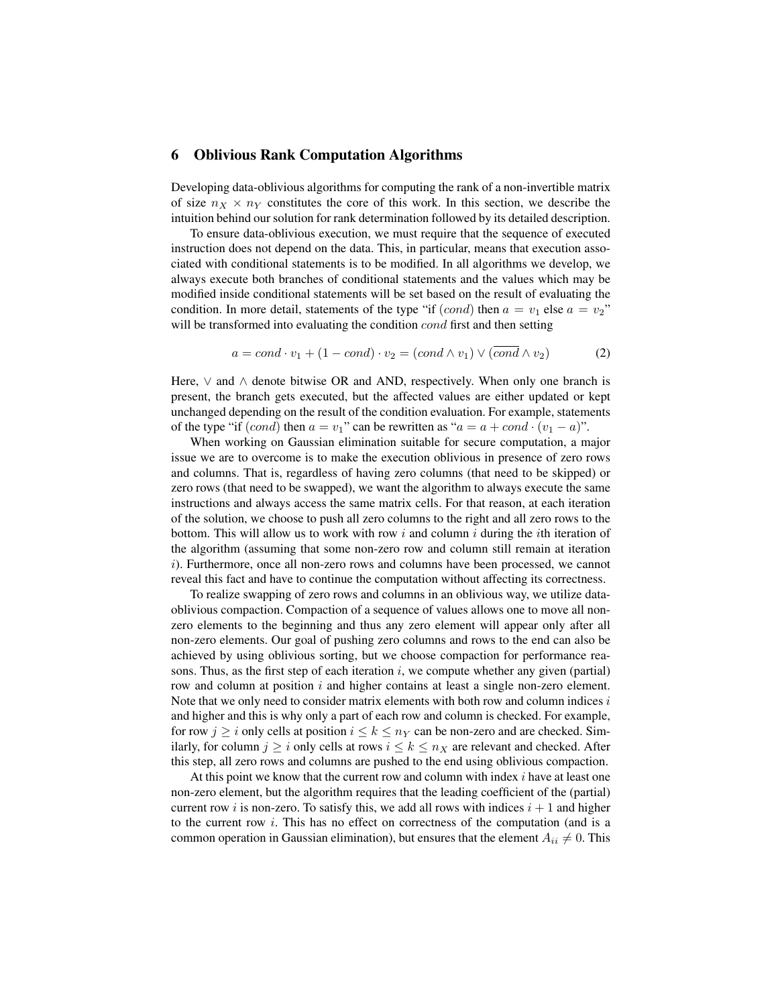#### 6 Oblivious Rank Computation Algorithms

Developing data-oblivious algorithms for computing the rank of a non-invertible matrix of size  $n_X \times n_Y$  constitutes the core of this work. In this section, we describe the intuition behind our solution for rank determination followed by its detailed description.

To ensure data-oblivious execution, we must require that the sequence of executed instruction does not depend on the data. This, in particular, means that execution associated with conditional statements is to be modified. In all algorithms we develop, we always execute both branches of conditional statements and the values which may be modified inside conditional statements will be set based on the result of evaluating the condition. In more detail, statements of the type "if  $(cond)$  then  $a = v_1$  else  $a = v_2$ " will be transformed into evaluating the condition *cond* first and then setting

$$
a = cond \cdot v_1 + (1 - cond) \cdot v_2 = (cond \wedge v_1) \vee (cond \wedge v_2)
$$
 (2)

Here,  $\vee$  and  $\wedge$  denote bitwise OR and AND, respectively. When only one branch is present, the branch gets executed, but the affected values are either updated or kept unchanged depending on the result of the condition evaluation. For example, statements of the type "if  $(cond)$  then  $a = v_1$ " can be rewritten as " $a = a + cond \cdot (v_1 - a)$ ".

When working on Gaussian elimination suitable for secure computation, a major issue we are to overcome is to make the execution oblivious in presence of zero rows and columns. That is, regardless of having zero columns (that need to be skipped) or zero rows (that need to be swapped), we want the algorithm to always execute the same instructions and always access the same matrix cells. For that reason, at each iteration of the solution, we choose to push all zero columns to the right and all zero rows to the bottom. This will allow us to work with row i and column i during the ith iteration of the algorithm (assuming that some non-zero row and column still remain at iteration i). Furthermore, once all non-zero rows and columns have been processed, we cannot reveal this fact and have to continue the computation without affecting its correctness.

To realize swapping of zero rows and columns in an oblivious way, we utilize dataoblivious compaction. Compaction of a sequence of values allows one to move all nonzero elements to the beginning and thus any zero element will appear only after all non-zero elements. Our goal of pushing zero columns and rows to the end can also be achieved by using oblivious sorting, but we choose compaction for performance reasons. Thus, as the first step of each iteration  $i$ , we compute whether any given (partial) row and column at position i and higher contains at least a single non-zero element. Note that we only need to consider matrix elements with both row and column indices  $i$ and higher and this is why only a part of each row and column is checked. For example, for row  $j \ge i$  only cells at position  $i \le k \le n_Y$  can be non-zero and are checked. Similarly, for column  $j \geq i$  only cells at rows  $i \leq k \leq n_X$  are relevant and checked. After this step, all zero rows and columns are pushed to the end using oblivious compaction.

At this point we know that the current row and column with index  $i$  have at least one non-zero element, but the algorithm requires that the leading coefficient of the (partial) current row i is non-zero. To satisfy this, we add all rows with indices  $i + 1$  and higher to the current row i. This has no effect on correctness of the computation (and is a common operation in Gaussian elimination), but ensures that the element  $A_{ii} \neq 0$ . This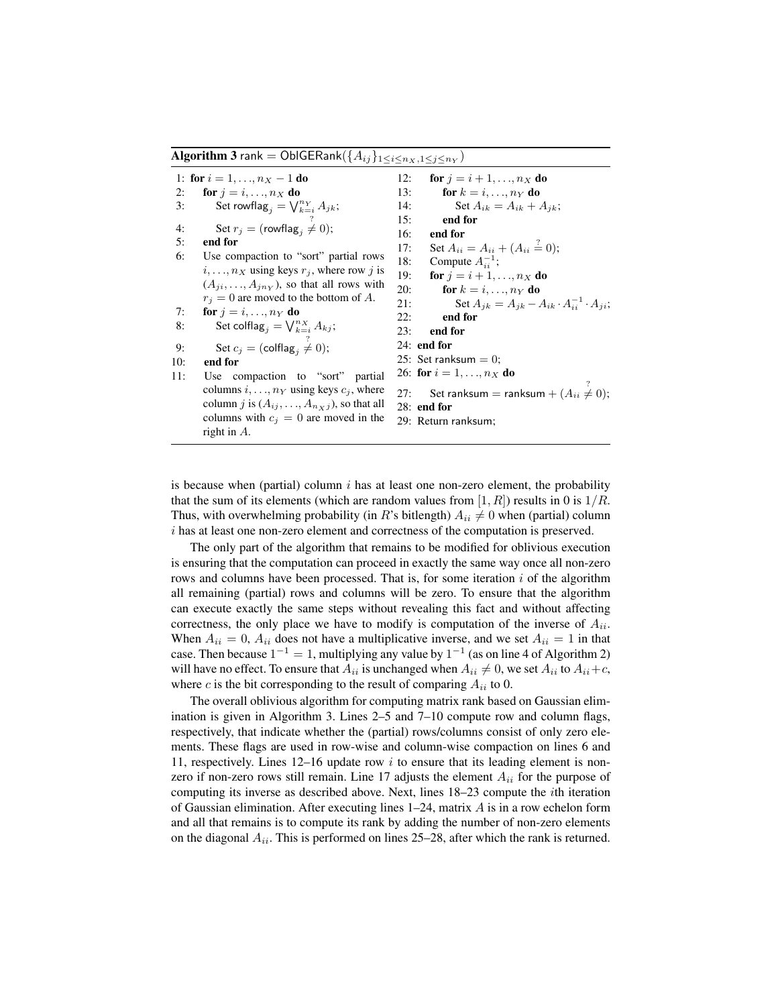## $\mathbf{Algorithm \ 3}$  rank  $=\mathsf{OblGERank}(\{A_{ij}\}_{1\leq i\leq n_{X},1\leq j\leq n_{Y}})$

1: for  $i = 1, ..., n_X - 1$  do 2: for  $j = i, \ldots, n_X$  do 3: Set rowfla $\mathbf{g}_j = \bigvee_{k=i}^{n_Y} A_{jk};$ 4: Set  $r_j = (\text{rowflag}_j \neq 0);$ 5: end for 6: Use compaction to "sort" partial rows  $i, \ldots, n_X$  using keys  $r_j$ , where row j is  $(A_{ji},..., A_{jn_Y})$ , so that all rows with  $r_i = 0$  are moved to the bottom of A. 7: for  $j = i, \ldots, n_Y$  do 8: Set colflag<sub>j</sub> =  $\bigvee_{k=i}^{n_X} A_{kj}$ ; 9: Set  $c_j = (\text{colflag}_j \neq 0);$ 10: end for 11: Use compaction to "sort" partial columns  $i, \ldots, n_Y$  using keys  $c_j$ , where column j is  $(A_{ij},...,A_{n_Xj})$ , so that all columns with  $c_i = 0$  are moved in the right in A. 12: **for**  $j = i + 1, ..., n_X$  **do** 13: for  $k = i, \ldots, n_Y$  do 14: **Set**  $A_{ik} = A_{ik} + A_{jk};$ 15: end for 16: end for 17: Set  $A_{ii} = A_{ii} + (A_{ii} \stackrel{?}{=} 0);$ 18: Compute  $A_{ii}^{-1}$ ; 19: **for**  $j = i + 1, ..., n_X$  **do** 20: **for**  $k = i, ..., n<sub>Y</sub>$  **do** 21: Set  $A_{jk} = A_{jk} - A_{ik} \cdot A_{ii}^{-1} \cdot A_{ji}$ ; 22: end for 23: end for 24: end for 25: Set ranksum  $= 0$ : 26: for  $i = 1, ..., n_X$  do 27: Set ranksum = ranksum  $+$   $(A_{ii} \neq 0)$ ; 28: end for 29: Return ranksum;

is because when (partial) column  $i$  has at least one non-zero element, the probability that the sum of its elements (which are random values from [1, R]) results in 0 is  $1/R$ . Thus, with overwhelming probability (in R's bitlength)  $A_{ii} \neq 0$  when (partial) column i has at least one non-zero element and correctness of the computation is preserved.

The only part of the algorithm that remains to be modified for oblivious execution is ensuring that the computation can proceed in exactly the same way once all non-zero rows and columns have been processed. That is, for some iteration  $i$  of the algorithm all remaining (partial) rows and columns will be zero. To ensure that the algorithm can execute exactly the same steps without revealing this fact and without affecting correctness, the only place we have to modify is computation of the inverse of  $A_{ii}$ . When  $A_{ii} = 0$ ,  $A_{ii}$  does not have a multiplicative inverse, and we set  $A_{ii} = 1$  in that case. Then because  $1^{-1} = 1$ , multiplying any value by  $1^{-1}$  (as on line 4 of Algorithm 2) will have no effect. To ensure that  $A_{ii}$  is unchanged when  $A_{ii} \neq 0$ , we set  $A_{ii}$  to  $A_{ii}+c$ , where c is the bit corresponding to the result of comparing  $A_{ii}$  to 0.

The overall oblivious algorithm for computing matrix rank based on Gaussian elimination is given in Algorithm 3. Lines  $2-5$  and  $7-10$  compute row and column flags, respectively, that indicate whether the (partial) rows/columns consist of only zero elements. These flags are used in row-wise and column-wise compaction on lines 6 and 11, respectively. Lines  $12-16$  update row i to ensure that its leading element is nonzero if non-zero rows still remain. Line 17 adjusts the element  $A_{ii}$  for the purpose of computing its inverse as described above. Next, lines 18–23 compute the ith iteration of Gaussian elimination. After executing lines  $1-24$ , matrix A is in a row echelon form and all that remains is to compute its rank by adding the number of non-zero elements on the diagonal  $A_{ii}$ . This is performed on lines 25–28, after which the rank is returned.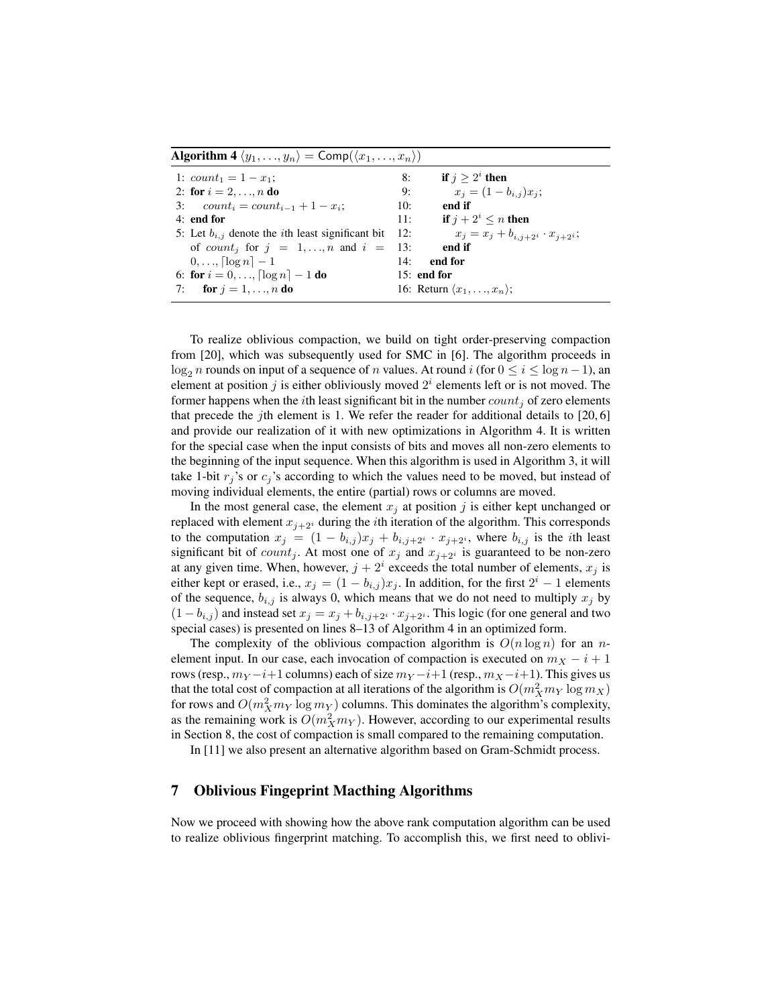| <b>Algorithm 4</b> $\langle y_1, \ldots, y_n \rangle$ = Comp( $\langle x_1, \ldots, x_n \rangle$ ) |                                                   |  |  |  |  |
|----------------------------------------------------------------------------------------------------|---------------------------------------------------|--|--|--|--|
| 1: $count_1 = 1 - x_1$ ;                                                                           | if $j > 2i$ then<br>8:                            |  |  |  |  |
| 2: for $i = 2, , n$ do                                                                             | $x_i = (1 - b_{i,j})x_i;$<br>9:                   |  |  |  |  |
| 3: $count_i = count_{i-1} + 1 - x_i$ ;                                                             | end if<br>10:                                     |  |  |  |  |
| $4:$ end for                                                                                       | if $j + 2^i \leq n$ then<br>11:                   |  |  |  |  |
| 5: Let $b_{i,j}$ denote the <i>i</i> th least significant bit                                      | $x_j = x_j + b_{i,j+2^i} \cdot x_{j+2^i};$<br>12: |  |  |  |  |
| of <i>count<sub>i</sub></i> for $j = 1, , n$ and $i = 13$ :                                        | end if                                            |  |  |  |  |
| $0, \ldots, \lceil \log n \rceil - 1$                                                              | end for<br>14:                                    |  |  |  |  |
| 6: for $i = 0, , \lfloor \log n \rfloor - 1$ do                                                    | $15:$ end for                                     |  |  |  |  |
| 7: <b>for</b> $j = 1, , n$ <b>do</b>                                                               | 16: Return $\langle x_1, \ldots, x_n \rangle$ ;   |  |  |  |  |

To realize oblivious compaction, we build on tight order-preserving compaction from [20], which was subsequently used for SMC in [6]. The algorithm proceeds in  $\log_2 n$  rounds on input of a sequence of n values. At round i (for  $0 \le i \le \log n - 1$ ), an element at position  $j$  is either obliviously moved  $2<sup>i</sup>$  elements left or is not moved. The former happens when the *i*th least significant bit in the number  $count_i$  of zero elements that precede the *j*th element is 1. We refer the reader for additional details to  $[20, 6]$ and provide our realization of it with new optimizations in Algorithm 4. It is written for the special case when the input consists of bits and moves all non-zero elements to the beginning of the input sequence. When this algorithm is used in Algorithm 3, it will take 1-bit  $r_i$ 's or  $c_i$ 's according to which the values need to be moved, but instead of moving individual elements, the entire (partial) rows or columns are moved.

In the most general case, the element  $x_i$  at position j is either kept unchanged or replaced with element  $x_{i+2}$  during the *i*th iteration of the algorithm. This corresponds to the computation  $x_j = (1 - b_{i,j})x_j + b_{i,j+2^i} \cdot x_{j+2^i}$ , where  $b_{i,j}$  is the *i*th least significant bit of  $count_j$ . At most one of  $x_j$  and  $x_{j+2}$  is guaranteed to be non-zero at any given time. When, however,  $j + 2<sup>i</sup>$  exceeds the total number of elements,  $x<sub>j</sub>$  is either kept or erased, i.e.,  $x_j = (1 - b_{i,j})x_j$ . In addition, for the first  $2^i - 1$  elements of the sequence,  $b_{i,j}$  is always 0, which means that we do not need to multiply  $x_j$  by  $(1 - b_{i,j})$  and instead set  $x_j = x_j + b_{i,j+2i} \cdot x_{j+2i}$ . This logic (for one general and two special cases) is presented on lines 8–13 of Algorithm 4 in an optimized form.

The complexity of the oblivious compaction algorithm is  $O(n \log n)$  for an nelement input. In our case, each invocation of compaction is executed on  $m_X - i + 1$ rows (resp.,  $m_Y - i+1$  columns) each of size  $m_Y - i+1$  (resp.,  $m_X - i+1$ ). This gives us that the total cost of compaction at all iterations of the algorithm is  $O(m_X^2 m_Y \log m_X)$ for rows and  $O(m_X^2 m_Y \log m_Y)$  columns. This dominates the algorithm's complexity, as the remaining work is  $O(m_X^2 m_Y)$ . However, according to our experimental results in Section 8, the cost of compaction is small compared to the remaining computation.

In [11] we also present an alternative algorithm based on Gram-Schmidt process.

## 7 Oblivious Fingeprint Macthing Algorithms

Now we proceed with showing how the above rank computation algorithm can be used to realize oblivious fingerprint matching. To accomplish this, we first need to oblivi-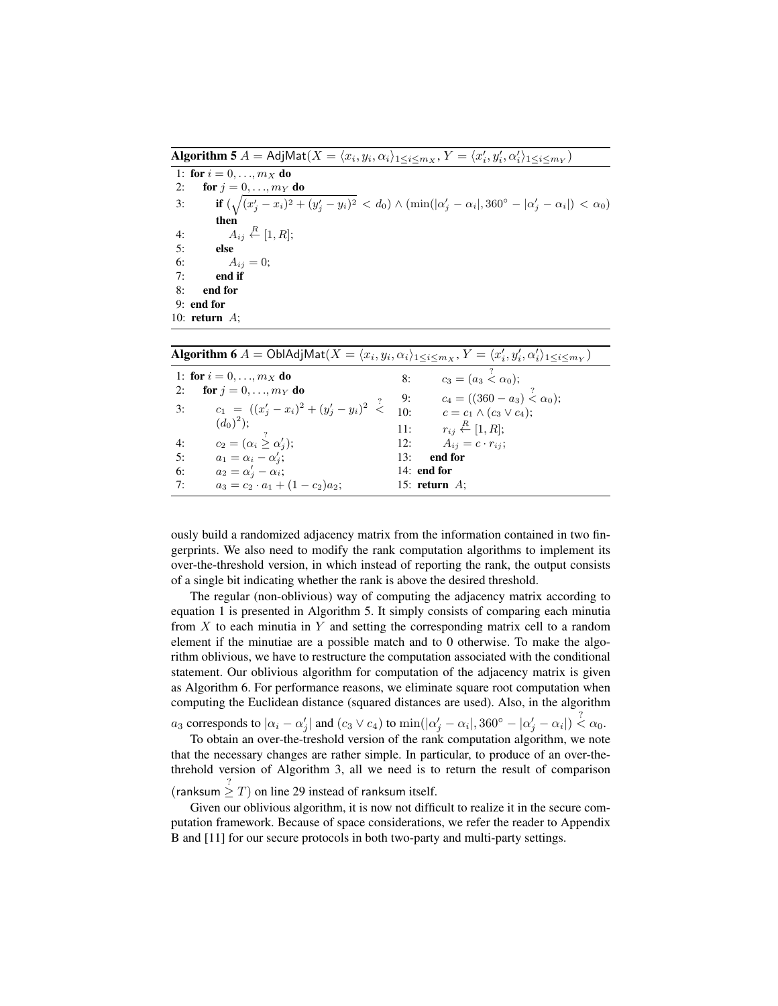Algorithm 5  $A = \text{AdjMat}(X = \langle x_i, y_i, \alpha_i \rangle_{1 \leq i \leq m_X}, Y = \langle x_i', y_i', \alpha_i' \rangle_{1 \leq i \leq m_Y})$ 

1: for  $i = 0, ..., m_X$  do 2: **for**  $j = 0, ..., m<sub>Y</sub>$  **do** 3: **if**  $(\sqrt{(x'_j - x_i)^2 + (y'_j - y_i)^2} < d_0) \wedge (\min(|\alpha'_j - \alpha_i|, 360^\circ - |\alpha'_j - \alpha_i|) < \alpha_0)$ then 4:  $A_{ij} \stackrel{R}{\leftarrow} [1, R];$ 5: else 6:  $A_{ij} = 0;$ 7: end if 8: end for 9: end for 10: return A;

| <b>Algorithm 6</b> A = OblAdjMat( $X = \langle x_i, y_i, \alpha_i \rangle_{1 \le i \le m_X}$ , $Y = \langle x'_i, y'_i, \alpha'_i \rangle_{1 \le i \le m_Y}$ ) |                                                          |     |                                                 |  |
|----------------------------------------------------------------------------------------------------------------------------------------------------------------|----------------------------------------------------------|-----|-------------------------------------------------|--|
|                                                                                                                                                                | 1: for $i = 0, , m_X$ do                                 | 8:  | $c_3 = (a_3 \stackrel{?}{<} \alpha_0);$         |  |
| 2:                                                                                                                                                             | for $j = 0, \ldots, m_Y$ do                              | 9:  | $c_4 = ((360 - a_3) \stackrel{?}{<} \alpha_0);$ |  |
| 3:                                                                                                                                                             | $c_1 = ((x'_j - x_i)^2 + (y'_i - y_i)^2 \stackrel{?}{<}$ |     | 10: $c = c_1 \wedge (c_3 \vee c_4);$            |  |
|                                                                                                                                                                | $(d_0)^2);$                                              | 11: | $r_{ij} \stackrel{R}{\leftarrow} [1, R];$       |  |
| 4:                                                                                                                                                             | $c_2=(\alpha_i\geq\alpha'_j);$                           | 12: | $A_{ij} = c \cdot r_{ij};$                      |  |
| 5:                                                                                                                                                             | $a_1 = \alpha_i - \alpha'_i;$                            | 13: | end for                                         |  |
| 6:                                                                                                                                                             | $a_2 = \alpha'_i - \alpha_i;$                            |     | $14:$ end for                                   |  |
| 7:                                                                                                                                                             | $a_3 = c_2 \cdot a_1 + (1 - c_2)a_2;$                    |     | 15: return $A$ ;                                |  |

ously build a randomized adjacency matrix from the information contained in two fingerprints. We also need to modify the rank computation algorithms to implement its over-the-threshold version, in which instead of reporting the rank, the output consists of a single bit indicating whether the rank is above the desired threshold.

The regular (non-oblivious) way of computing the adjacency matrix according to equation 1 is presented in Algorithm 5. It simply consists of comparing each minutia from  $X$  to each minutia in  $Y$  and setting the corresponding matrix cell to a random element if the minutiae are a possible match and to 0 otherwise. To make the algorithm oblivious, we have to restructure the computation associated with the conditional statement. Our oblivious algorithm for computation of the adjacency matrix is given as Algorithm 6. For performance reasons, we eliminate square root computation when computing the Euclidean distance (squared distances are used). Also, in the algorithm

 $a_3$  corresponds to  $|\alpha_i - \alpha'_j|$  and  $(c_3 \vee c_4)$  to  $\min(|\alpha'_j - \alpha_i|, 360^\circ - |\alpha'_j - \alpha_i|) \stackrel{?}{\leq} \alpha_0$ .

To obtain an over-the-treshold version of the rank computation algorithm, we note that the necessary changes are rather simple. In particular, to produce of an over-thethrehold version of Algorithm 3, all we need is to return the result of comparison

 $\frac{?}{?}$  (ranksum  $\geq$  *T*) on line 29 instead of ranksum itself.

Given our oblivious algorithm, it is now not difficult to realize it in the secure computation framework. Because of space considerations, we refer the reader to Appendix B and [11] for our secure protocols in both two-party and multi-party settings.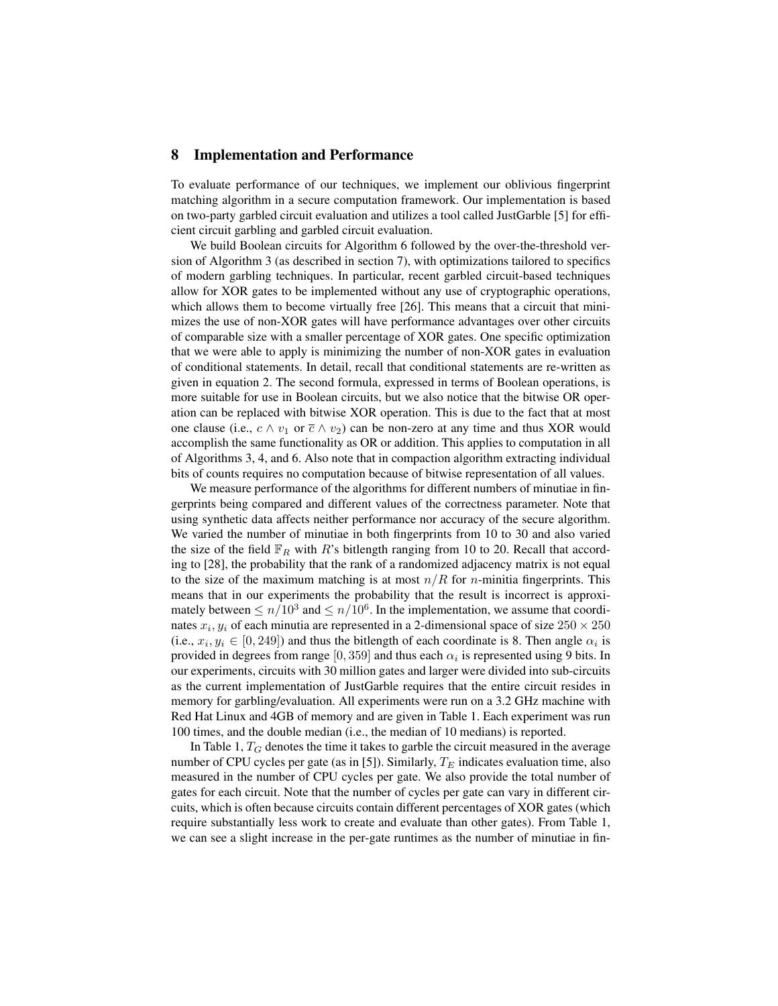#### 8 Implementation and Performance

To evaluate performance of our techniques, we implement our oblivious fingerprint matching algorithm in a secure computation framework. Our implementation is based on two-party garbled circuit evaluation and utilizes a tool called JustGarble [5] for efficient circuit garbling and garbled circuit evaluation.

We build Boolean circuits for Algorithm 6 followed by the over-the-threshold version of Algorithm 3 (as described in section 7), with optimizations tailored to specifics of modern garbling techniques. In particular, recent garbled circuit-based techniques allow for XOR gates to be implemented without any use of cryptographic operations, which allows them to become virtually free [26]. This means that a circuit that minimizes the use of non-XOR gates will have performance advantages over other circuits of comparable size with a smaller percentage of XOR gates. One specific optimization that we were able to apply is minimizing the number of non-XOR gates in evaluation of conditional statements. In detail, recall that conditional statements are re-written as given in equation 2. The second formula, expressed in terms of Boolean operations, is more suitable for use in Boolean circuits, but we also notice that the bitwise OR operation can be replaced with bitwise XOR operation. This is due to the fact that at most one clause (i.e.,  $c \wedge v_1$  or  $\overline{c} \wedge v_2$ ) can be non-zero at any time and thus XOR would accomplish the same functionality as OR or addition. This applies to computation in all of Algorithms 3, 4, and 6. Also note that in compaction algorithm extracting individual bits of counts requires no computation because of bitwise representation of all values.

We measure performance of the algorithms for different numbers of minutiae in fingerprints being compared and different values of the correctness parameter. Note that using synthetic data affects neither performance nor accuracy of the secure algorithm. We varied the number of minutiae in both fingerprints from 10 to 30 and also varied the size of the field  $\mathbb{F}_R$  with R's bitlength ranging from 10 to 20. Recall that according to [28], the probability that the rank of a randomized adjacency matrix is not equal to the size of the maximum matching is at most  $n/R$  for *n*-minitia fingerprints. This means that in our experiments the probability that the result is incorrect is approximately between  $\leq n/10^3$  and  $\leq n/10^6$ . In the implementation, we assume that coordinates  $x_i, y_i$  of each minutia are represented in a 2-dimensional space of size  $250 \times 250$ (i.e.,  $x_i, y_i \in [0, 249]$ ) and thus the bitlength of each coordinate is 8. Then angle  $\alpha_i$  is provided in degrees from range  $[0, 359]$  and thus each  $\alpha_i$  is represented using 9 bits. In our experiments, circuits with 30 million gates and larger were divided into sub-circuits as the current implementation of JustGarble requires that the entire circuit resides in memory for garbling/evaluation. All experiments were run on a 3.2 GHz machine with Red Hat Linux and 4GB of memory and are given in Table 1. Each experiment was run 100 times, and the double median (i.e., the median of 10 medians) is reported.

In Table 1,  $T_G$  denotes the time it takes to garble the circuit measured in the average number of CPU cycles per gate (as in [5]). Similarly,  $T_E$  indicates evaluation time, also measured in the number of CPU cycles per gate. We also provide the total number of gates for each circuit. Note that the number of cycles per gate can vary in different circuits, which is often because circuits contain different percentages of XOR gates (which require substantially less work to create and evaluate than other gates). From Table 1, we can see a slight increase in the per-gate runtimes as the number of minutiae in fin-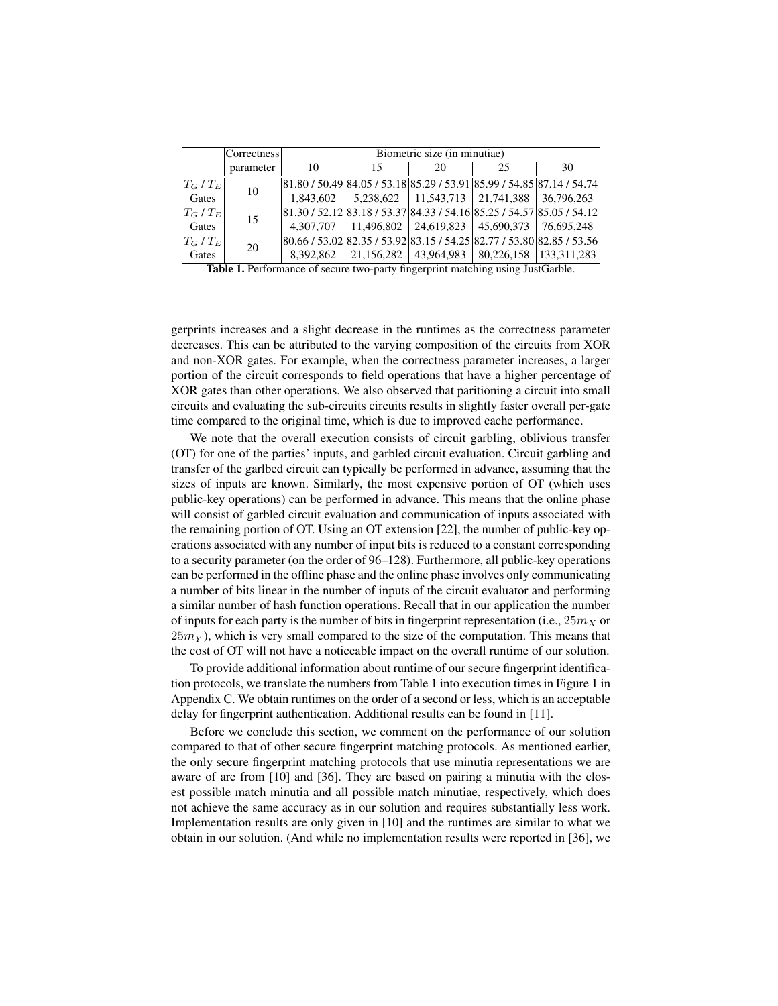|             | Correctness |                                                                       | Biometric size (in minutiae) |                                                                 |    |                                                    |  |
|-------------|-------------|-----------------------------------------------------------------------|------------------------------|-----------------------------------------------------------------|----|----------------------------------------------------|--|
|             | parameter   | 10                                                                    | 15                           | 20                                                              | 25 | 30                                                 |  |
| $ T_G T_E $ | 10          | 81.80/50.49 84.05/53.18 85.29/53.91 85.99/54.85 87.14/54.74           |                              |                                                                 |    |                                                    |  |
| Gates       |             |                                                                       |                              | $1,843,602$   5,238,622   11,543,713   21,741,388   36,796,263  |    |                                                    |  |
| $ T_G T_E $ | 15          | 81.30/52.12 83.18/53.37 84.33/54.16 85.25/54.57 85.05/54.12           |                              |                                                                 |    |                                                    |  |
| Gates       |             |                                                                       |                              | $4,307,707$   11,496,802   24,619,823   45,690,373   76,695,248 |    |                                                    |  |
| $ T_G T_E $ | 20          | 80.66 / 53.02 82.35 / 53.92 83.15 / 54.25 82.77 / 53.80 82.85 / 53.56 |                              |                                                                 |    |                                                    |  |
| Gates       |             | 8,392,862                                                             |                              |                                                                 |    | 21,156,282   43,964,983   80,226,158   133,311,283 |  |

Table 1. Performance of secure two-party fingerprint matching using JustGarble.

gerprints increases and a slight decrease in the runtimes as the correctness parameter decreases. This can be attributed to the varying composition of the circuits from XOR and non-XOR gates. For example, when the correctness parameter increases, a larger portion of the circuit corresponds to field operations that have a higher percentage of XOR gates than other operations. We also observed that paritioning a circuit into small circuits and evaluating the sub-circuits circuits results in slightly faster overall per-gate time compared to the original time, which is due to improved cache performance.

We note that the overall execution consists of circuit garbling, oblivious transfer (OT) for one of the parties' inputs, and garbled circuit evaluation. Circuit garbling and transfer of the garlbed circuit can typically be performed in advance, assuming that the sizes of inputs are known. Similarly, the most expensive portion of OT (which uses public-key operations) can be performed in advance. This means that the online phase will consist of garbled circuit evaluation and communication of inputs associated with the remaining portion of OT. Using an OT extension [22], the number of public-key operations associated with any number of input bits is reduced to a constant corresponding to a security parameter (on the order of 96–128). Furthermore, all public-key operations can be performed in the offline phase and the online phase involves only communicating a number of bits linear in the number of inputs of the circuit evaluator and performing a similar number of hash function operations. Recall that in our application the number of inputs for each party is the number of bits in fingerprint representation (i.e.,  $25m<sub>X</sub>$  or  $25m<sub>Y</sub>$ ), which is very small compared to the size of the computation. This means that the cost of OT will not have a noticeable impact on the overall runtime of our solution.

To provide additional information about runtime of our secure fingerprint identification protocols, we translate the numbers from Table 1 into execution times in Figure 1 in Appendix C. We obtain runtimes on the order of a second or less, which is an acceptable delay for fingerprint authentication. Additional results can be found in [11].

Before we conclude this section, we comment on the performance of our solution compared to that of other secure fingerprint matching protocols. As mentioned earlier, the only secure fingerprint matching protocols that use minutia representations we are aware of are from [10] and [36]. They are based on pairing a minutia with the closest possible match minutia and all possible match minutiae, respectively, which does not achieve the same accuracy as in our solution and requires substantially less work. Implementation results are only given in [10] and the runtimes are similar to what we obtain in our solution. (And while no implementation results were reported in [36], we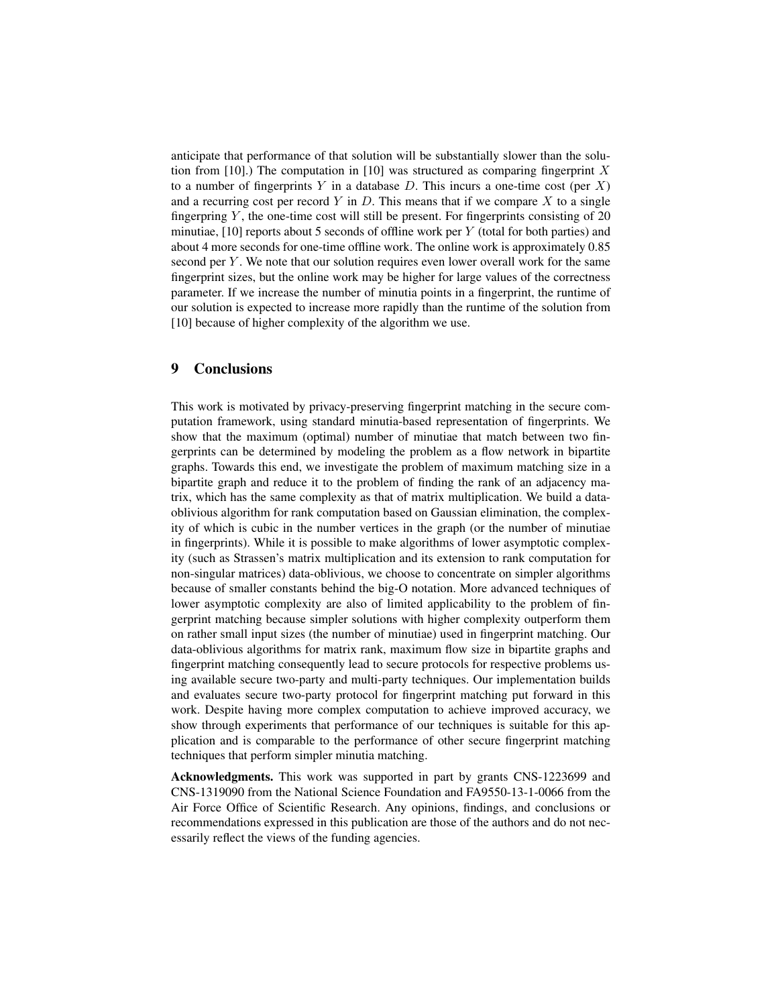anticipate that performance of that solution will be substantially slower than the solution from [10].) The computation in [10] was structured as comparing fingerprint X to a number of fingerprints Y in a database D. This incurs a one-time cost (per  $X$ ) and a recurring cost per record  $Y$  in  $D$ . This means that if we compare  $X$  to a single fingerpring  $Y$ , the one-time cost will still be present. For fingerprints consisting of 20 minutiae,  $[10]$  reports about 5 seconds of offline work per Y (total for both parties) and about 4 more seconds for one-time offline work. The online work is approximately 0.85 second per  $Y$ . We note that our solution requires even lower overall work for the same fingerprint sizes, but the online work may be higher for large values of the correctness parameter. If we increase the number of minutia points in a fingerprint, the runtime of our solution is expected to increase more rapidly than the runtime of the solution from [10] because of higher complexity of the algorithm we use.

### 9 Conclusions

This work is motivated by privacy-preserving fingerprint matching in the secure computation framework, using standard minutia-based representation of fingerprints. We show that the maximum (optimal) number of minutiae that match between two fingerprints can be determined by modeling the problem as a flow network in bipartite graphs. Towards this end, we investigate the problem of maximum matching size in a bipartite graph and reduce it to the problem of finding the rank of an adjacency matrix, which has the same complexity as that of matrix multiplication. We build a dataoblivious algorithm for rank computation based on Gaussian elimination, the complexity of which is cubic in the number vertices in the graph (or the number of minutiae in fingerprints). While it is possible to make algorithms of lower asymptotic complexity (such as Strassen's matrix multiplication and its extension to rank computation for non-singular matrices) data-oblivious, we choose to concentrate on simpler algorithms because of smaller constants behind the big-O notation. More advanced techniques of lower asymptotic complexity are also of limited applicability to the problem of fingerprint matching because simpler solutions with higher complexity outperform them on rather small input sizes (the number of minutiae) used in fingerprint matching. Our data-oblivious algorithms for matrix rank, maximum flow size in bipartite graphs and fingerprint matching consequently lead to secure protocols for respective problems using available secure two-party and multi-party techniques. Our implementation builds and evaluates secure two-party protocol for fingerprint matching put forward in this work. Despite having more complex computation to achieve improved accuracy, we show through experiments that performance of our techniques is suitable for this application and is comparable to the performance of other secure fingerprint matching techniques that perform simpler minutia matching.

Acknowledgments. This work was supported in part by grants CNS-1223699 and CNS-1319090 from the National Science Foundation and FA9550-13-1-0066 from the Air Force Office of Scientific Research. Any opinions, findings, and conclusions or recommendations expressed in this publication are those of the authors and do not necessarily reflect the views of the funding agencies.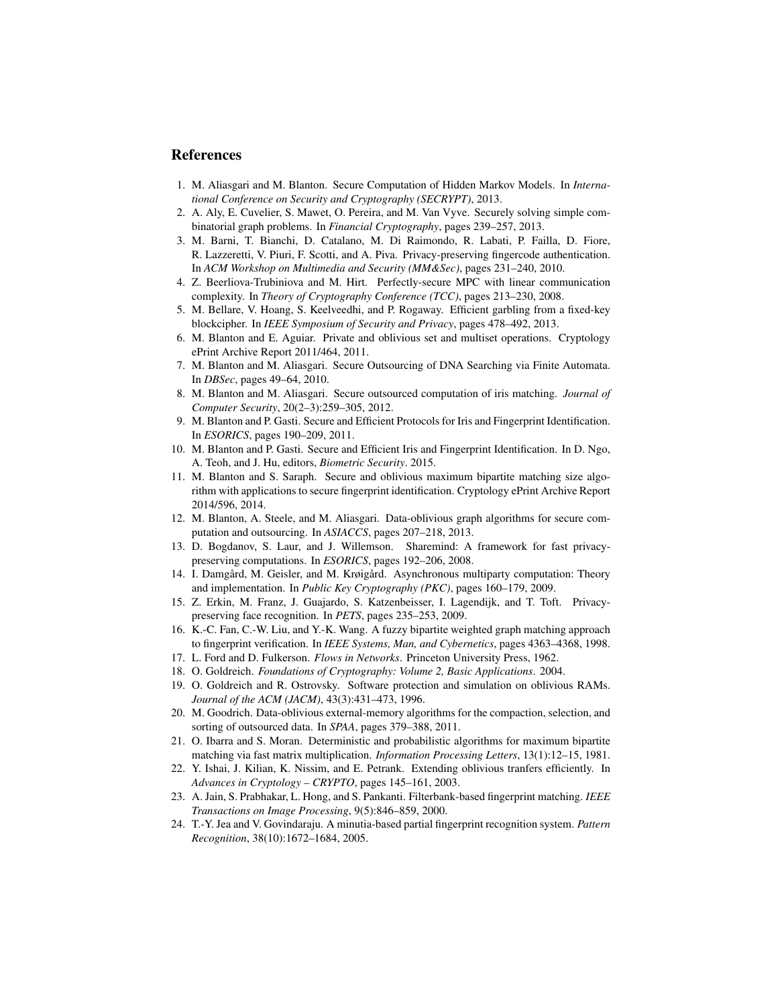#### References

- 1. M. Aliasgari and M. Blanton. Secure Computation of Hidden Markov Models. In *International Conference on Security and Cryptography (SECRYPT)*, 2013.
- 2. A. Aly, E. Cuvelier, S. Mawet, O. Pereira, and M. Van Vyve. Securely solving simple combinatorial graph problems. In *Financial Cryptography*, pages 239–257, 2013.
- 3. M. Barni, T. Bianchi, D. Catalano, M. Di Raimondo, R. Labati, P. Failla, D. Fiore, R. Lazzeretti, V. Piuri, F. Scotti, and A. Piva. Privacy-preserving fingercode authentication. In *ACM Workshop on Multimedia and Security (MM&Sec)*, pages 231–240, 2010.
- 4. Z. Beerliova-Trubiniova and M. Hirt. Perfectly-secure MPC with linear communication complexity. In *Theory of Cryptography Conference (TCC)*, pages 213–230, 2008.
- 5. M. Bellare, V. Hoang, S. Keelveedhi, and P. Rogaway. Efficient garbling from a fixed-key blockcipher. In *IEEE Symposium of Security and Privacy*, pages 478–492, 2013.
- 6. M. Blanton and E. Aguiar. Private and oblivious set and multiset operations. Cryptology ePrint Archive Report 2011/464, 2011.
- 7. M. Blanton and M. Aliasgari. Secure Outsourcing of DNA Searching via Finite Automata. In *DBSec*, pages 49–64, 2010.
- 8. M. Blanton and M. Aliasgari. Secure outsourced computation of iris matching. *Journal of Computer Security*, 20(2–3):259–305, 2012.
- 9. M. Blanton and P. Gasti. Secure and Efficient Protocols for Iris and Fingerprint Identification. In *ESORICS*, pages 190–209, 2011.
- 10. M. Blanton and P. Gasti. Secure and Efficient Iris and Fingerprint Identification. In D. Ngo, A. Teoh, and J. Hu, editors, *Biometric Security*. 2015.
- 11. M. Blanton and S. Saraph. Secure and oblivious maximum bipartite matching size algorithm with applications to secure fingerprint identification. Cryptology ePrint Archive Report 2014/596, 2014.
- 12. M. Blanton, A. Steele, and M. Aliasgari. Data-oblivious graph algorithms for secure computation and outsourcing. In *ASIACCS*, pages 207–218, 2013.
- 13. D. Bogdanov, S. Laur, and J. Willemson. Sharemind: A framework for fast privacypreserving computations. In *ESORICS*, pages 192–206, 2008.
- 14. I. Damgård, M. Geisler, and M. Krøigård. Asynchronous multiparty computation: Theory and implementation. In *Public Key Cryptography (PKC)*, pages 160–179, 2009.
- 15. Z. Erkin, M. Franz, J. Guajardo, S. Katzenbeisser, I. Lagendijk, and T. Toft. Privacypreserving face recognition. In *PETS*, pages 235–253, 2009.
- 16. K.-C. Fan, C.-W. Liu, and Y.-K. Wang. A fuzzy bipartite weighted graph matching approach to fingerprint verification. In *IEEE Systems, Man, and Cybernetics*, pages 4363–4368, 1998.
- 17. L. Ford and D. Fulkerson. *Flows in Networks*. Princeton University Press, 1962.
- 18. O. Goldreich. *Foundations of Cryptography: Volume 2, Basic Applications*. 2004.
- 19. O. Goldreich and R. Ostrovsky. Software protection and simulation on oblivious RAMs. *Journal of the ACM (JACM)*, 43(3):431–473, 1996.
- 20. M. Goodrich. Data-oblivious external-memory algorithms for the compaction, selection, and sorting of outsourced data. In *SPAA*, pages 379–388, 2011.
- 21. O. Ibarra and S. Moran. Deterministic and probabilistic algorithms for maximum bipartite matching via fast matrix multiplication. *Information Processing Letters*, 13(1):12–15, 1981.
- 22. Y. Ishai, J. Kilian, K. Nissim, and E. Petrank. Extending oblivious tranfers efficiently. In *Advances in Cryptology – CRYPTO*, pages 145–161, 2003.
- 23. A. Jain, S. Prabhakar, L. Hong, and S. Pankanti. Filterbank-based fingerprint matching. *IEEE Transactions on Image Processing*, 9(5):846–859, 2000.
- 24. T.-Y. Jea and V. Govindaraju. A minutia-based partial fingerprint recognition system. *Pattern Recognition*, 38(10):1672–1684, 2005.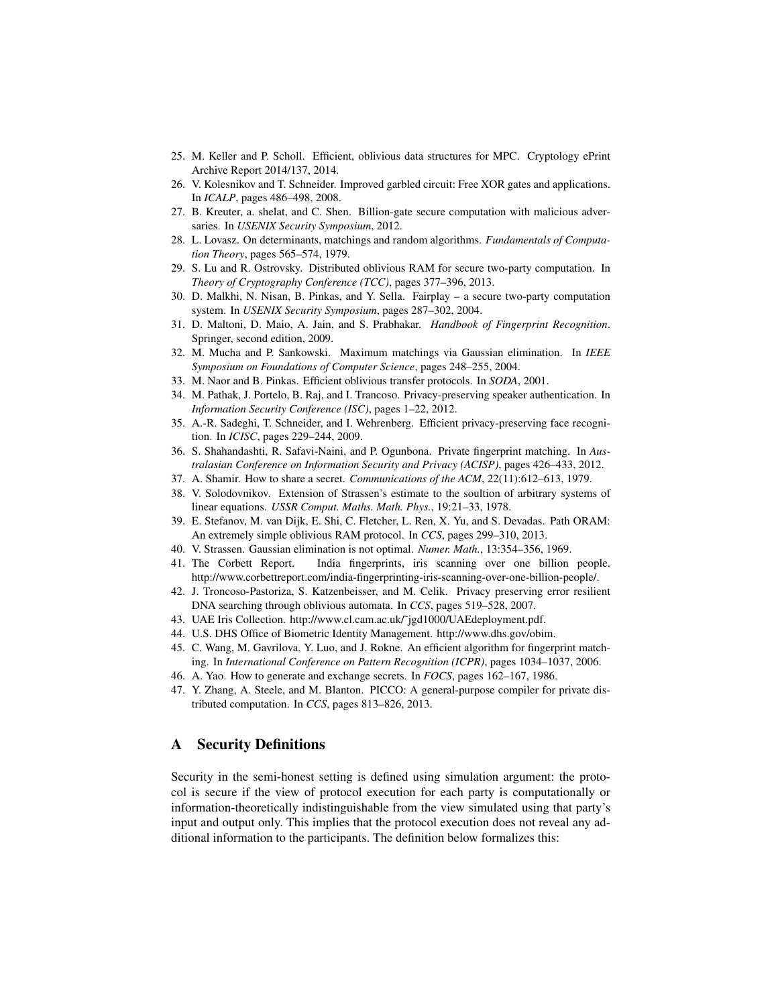- 25. M. Keller and P. Scholl. Efficient, oblivious data structures for MPC. Cryptology ePrint Archive Report 2014/137, 2014.
- 26. V. Kolesnikov and T. Schneider. Improved garbled circuit: Free XOR gates and applications. In *ICALP*, pages 486–498, 2008.
- 27. B. Kreuter, a. shelat, and C. Shen. Billion-gate secure computation with malicious adversaries. In *USENIX Security Symposium*, 2012.
- 28. L. Lovasz. On determinants, matchings and random algorithms. *Fundamentals of Computation Theory*, pages 565–574, 1979.
- 29. S. Lu and R. Ostrovsky. Distributed oblivious RAM for secure two-party computation. In *Theory of Cryptography Conference (TCC)*, pages 377–396, 2013.
- 30. D. Malkhi, N. Nisan, B. Pinkas, and Y. Sella. Fairplay a secure two-party computation system. In *USENIX Security Symposium*, pages 287–302, 2004.
- 31. D. Maltoni, D. Maio, A. Jain, and S. Prabhakar. *Handbook of Fingerprint Recognition*. Springer, second edition, 2009.
- 32. M. Mucha and P. Sankowski. Maximum matchings via Gaussian elimination. In *IEEE Symposium on Foundations of Computer Science*, pages 248–255, 2004.
- 33. M. Naor and B. Pinkas. Efficient oblivious transfer protocols. In *SODA*, 2001.
- 34. M. Pathak, J. Portelo, B. Raj, and I. Trancoso. Privacy-preserving speaker authentication. In *Information Security Conference (ISC)*, pages 1–22, 2012.
- 35. A.-R. Sadeghi, T. Schneider, and I. Wehrenberg. Efficient privacy-preserving face recognition. In *ICISC*, pages 229–244, 2009.
- 36. S. Shahandashti, R. Safavi-Naini, and P. Ogunbona. Private fingerprint matching. In *Australasian Conference on Information Security and Privacy (ACISP)*, pages 426–433, 2012.
- 37. A. Shamir. How to share a secret. *Communications of the ACM*, 22(11):612–613, 1979.
- 38. V. Solodovnikov. Extension of Strassen's estimate to the soultion of arbitrary systems of linear equations. *USSR Comput. Maths. Math. Phys.*, 19:21–33, 1978.
- 39. E. Stefanov, M. van Dijk, E. Shi, C. Fletcher, L. Ren, X. Yu, and S. Devadas. Path ORAM: An extremely simple oblivious RAM protocol. In *CCS*, pages 299–310, 2013.
- 40. V. Strassen. Gaussian elimination is not optimal. *Numer. Math.*, 13:354–356, 1969.
- 41. The Corbett Report. India fingerprints, iris scanning over one billion people. http://www.corbettreport.com/india-fingerprinting-iris-scanning-over-one-billion-people/.
- 42. J. Troncoso-Pastoriza, S. Katzenbeisser, and M. Celik. Privacy preserving error resilient DNA searching through oblivious automata. In *CCS*, pages 519–528, 2007.
- 43. UAE Iris Collection. http://www.cl.cam.ac.uk/~jgd1000/UAEdeployment.pdf.
- 44. U.S. DHS Office of Biometric Identity Management. http://www.dhs.gov/obim.
- 45. C. Wang, M. Gavrilova, Y. Luo, and J. Rokne. An efficient algorithm for fingerprint matching. In *International Conference on Pattern Recognition (ICPR)*, pages 1034–1037, 2006.
- 46. A. Yao. How to generate and exchange secrets. In *FOCS*, pages 162–167, 1986.
- 47. Y. Zhang, A. Steele, and M. Blanton. PICCO: A general-purpose compiler for private distributed computation. In *CCS*, pages 813–826, 2013.

# A Security Definitions

Security in the semi-honest setting is defined using simulation argument: the protocol is secure if the view of protocol execution for each party is computationally or information-theoretically indistinguishable from the view simulated using that party's input and output only. This implies that the protocol execution does not reveal any additional information to the participants. The definition below formalizes this: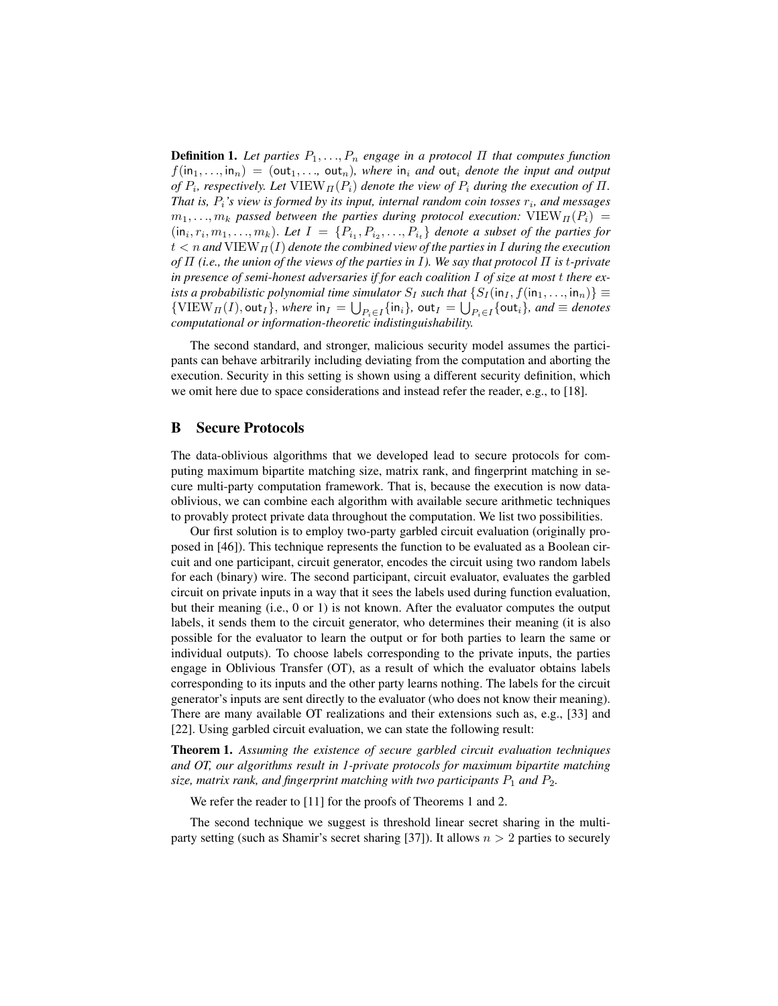**Definition 1.** Let parties  $P_1, \ldots, P_n$  engage in a protocol  $\Pi$  that computes function  $f(in_1, \ldots, in_n) = (out_1, \ldots, out_n)$ , where  $in_i$  and out<sub>i</sub> denote the input and output *of*  $P_i$ , respectively. Let  $\text{VIEW}_{\Pi}(P_i)$  denote the view of  $P_i$  during the execution of  $\Pi$ . *That is,*  $P_i$ *'s view is formed by its input, internal random coin tosses*  $r_i$ *, and messages*  $m_1, \ldots, m_k$  passed between the parties during protocol execution:  $\mathrm{VIEW}_\Pi(P_i)$  =  $(\textsf{in}_i, r_i, m_1, \ldots, m_k)$ . Let  $I = \{P_{i_1}, P_{i_2}, \ldots, P_{i_t}\}\$  denote a subset of the parties for  $t < n$  and  $\text{VIEW}_{\Pi}(I)$  denote the combined view of the parties in I during the execution *of* Π *(i.e., the union of the views of the parties in* I*). We say that protocol* Π *is* t*-private in presence of semi-honest adversaries if for each coalition* I *of size at most* t *there exists a probabilistic polynomial time simulator*  $S_I$  *such that*  $\{S_I(\text{in}_I, f(\text{in}_1, \ldots, \text{in}_n)\}\equiv$  $\{VIEW_{II}(I), \text{out}_I\}$ , *where*  $\text{in}_I = \bigcup_{P_i \in I} \{\text{in}_i\}$ ,  $\text{out}_I = \bigcup_{P_i \in I} \{\text{out}_i\}$ , and  $\equiv$  denotes *computational or information-theoretic indistinguishability.*

The second standard, and stronger, malicious security model assumes the participants can behave arbitrarily including deviating from the computation and aborting the execution. Security in this setting is shown using a different security definition, which we omit here due to space considerations and instead refer the reader, e.g., to [18].

## B Secure Protocols

The data-oblivious algorithms that we developed lead to secure protocols for computing maximum bipartite matching size, matrix rank, and fingerprint matching in secure multi-party computation framework. That is, because the execution is now dataoblivious, we can combine each algorithm with available secure arithmetic techniques to provably protect private data throughout the computation. We list two possibilities.

Our first solution is to employ two-party garbled circuit evaluation (originally proposed in [46]). This technique represents the function to be evaluated as a Boolean circuit and one participant, circuit generator, encodes the circuit using two random labels for each (binary) wire. The second participant, circuit evaluator, evaluates the garbled circuit on private inputs in a way that it sees the labels used during function evaluation, but their meaning (i.e., 0 or 1) is not known. After the evaluator computes the output labels, it sends them to the circuit generator, who determines their meaning (it is also possible for the evaluator to learn the output or for both parties to learn the same or individual outputs). To choose labels corresponding to the private inputs, the parties engage in Oblivious Transfer (OT), as a result of which the evaluator obtains labels corresponding to its inputs and the other party learns nothing. The labels for the circuit generator's inputs are sent directly to the evaluator (who does not know their meaning). There are many available OT realizations and their extensions such as, e.g., [33] and [22]. Using garbled circuit evaluation, we can state the following result:

Theorem 1. *Assuming the existence of secure garbled circuit evaluation techniques and OT, our algorithms result in 1-private protocols for maximum bipartite matching size, matrix rank, and fingerprint matching with two participants*  $P_1$  *and*  $P_2$ *.* 

We refer the reader to [11] for the proofs of Theorems 1 and 2.

The second technique we suggest is threshold linear secret sharing in the multiparty setting (such as Shamir's secret sharing [37]). It allows  $n > 2$  parties to securely